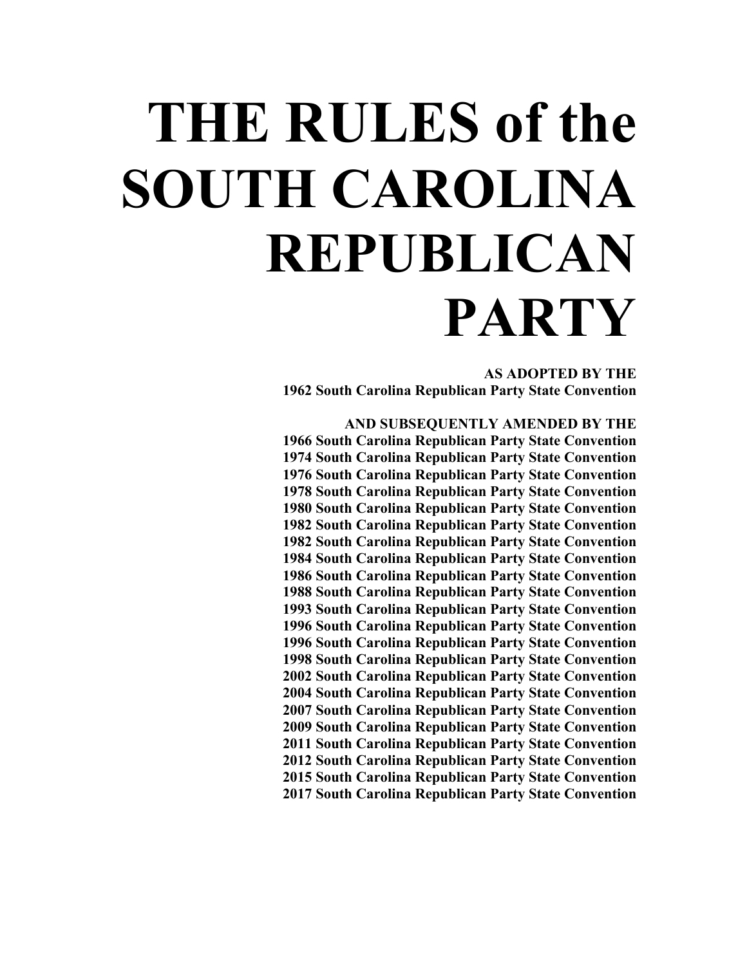# **THE RULES of the SOUTH CAROLINA REPUBLICAN PARTY**

**AS ADOPTED BY THE 1962 South Carolina Republican Party State Convention**

**AND SUBSEQUENTLY AMENDED BY THE 1966 South Carolina Republican Party State Convention 1974 South Carolina Republican Party State Convention 1976 South Carolina Republican Party State Convention 1978 South Carolina Republican Party State Convention 1980 South Carolina Republican Party State Convention 1982 South Carolina Republican Party State Convention 1982 South Carolina Republican Party State Convention 1984 South Carolina Republican Party State Convention 1986 South Carolina Republican Party State Convention 1988 South Carolina Republican Party State Convention 1993 South Carolina Republican Party State Convention 1996 South Carolina Republican Party State Convention 1996 South Carolina Republican Party State Convention 1998 South Carolina Republican Party State Convention 2002 South Carolina Republican Party State Convention 2004 South Carolina Republican Party State Convention 2007 South Carolina Republican Party State Convention 2009 South Carolina Republican Party State Convention 2011 South Carolina Republican Party State Convention 2012 South Carolina Republican Party State Convention 2015 South Carolina Republican Party State Convention 2017 South Carolina Republican Party State Convention**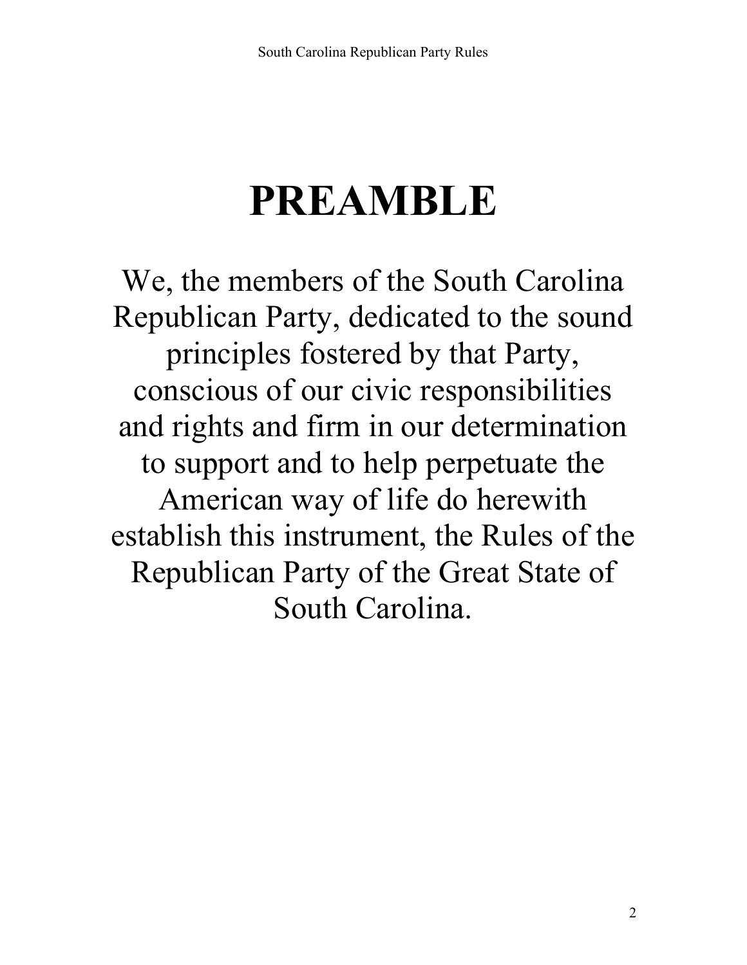## **PREAMBLE**

We, the members of the South Carolina Republican Party, dedicated to the sound principles fostered by that Party, conscious of our civic responsibilities and rights and firm in our determination to support and to help perpetuate the American way of life do herewith establish this instrument, the Rules of the Republican Party of the Great State of South Carolina.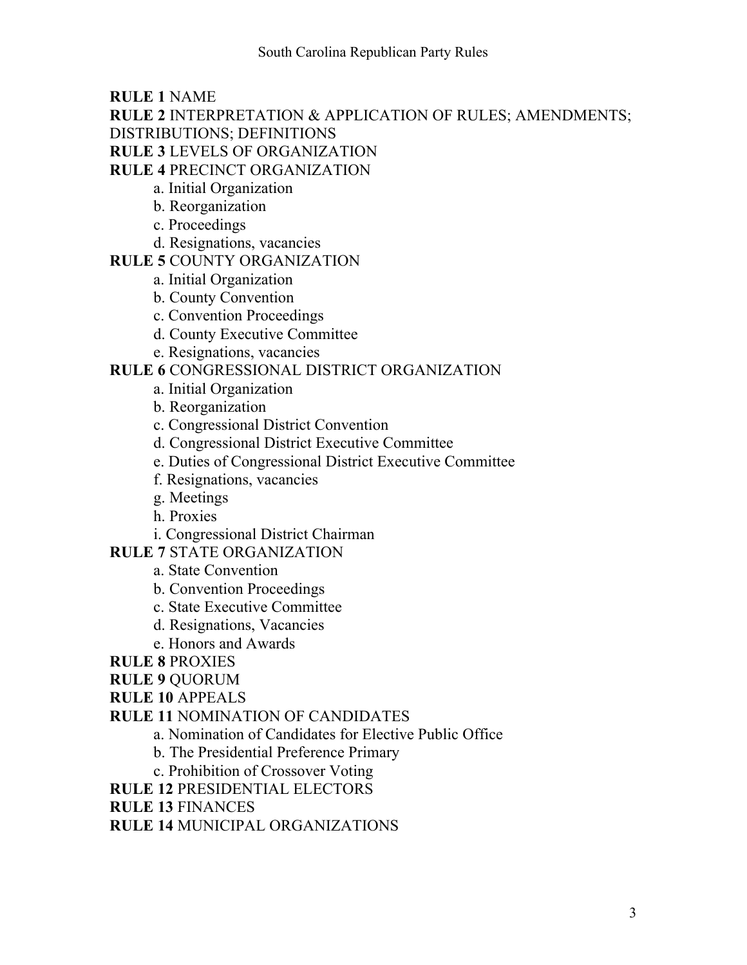**RULE 1** NAME

**RULE 2** INTERPRETATION & APPLICATION OF RULES; AMENDMENTS;

DISTRIBUTIONS; DEFINITIONS

**RULE 3** LEVELS OF ORGANIZATION

**RULE 4** PRECINCT ORGANIZATION

- a. Initial Organization
- b. Reorganization
- c. Proceedings
- d. Resignations, vacancies

#### **RULE 5** COUNTY ORGANIZATION

- a. Initial Organization
- b. County Convention
- c. Convention Proceedings
- d. County Executive Committee
- e. Resignations, vacancies

#### **RULE 6** CONGRESSIONAL DISTRICT ORGANIZATION

- a. Initial Organization
- b. Reorganization
- c. Congressional District Convention
- d. Congressional District Executive Committee
- e. Duties of Congressional District Executive Committee
- f. Resignations, vacancies
- g. Meetings
- h. Proxies
- i. Congressional District Chairman

#### **RULE 7** STATE ORGANIZATION

- a. State Convention
- b. Convention Proceedings
- c. State Executive Committee
- d. Resignations, Vacancies
- e. Honors and Awards
- **RULE 8** PROXIES

#### **RULE 9** QUORUM

- **RULE 10** APPEALS
- **RULE 11** NOMINATION OF CANDIDATES
	- a. Nomination of Candidates for Elective Public Office
	- b. The Presidential Preference Primary
	- c. Prohibition of Crossover Voting

**RULE 12** PRESIDENTIAL ELECTORS

**RULE 13** FINANCES

**RULE 14** MUNICIPAL ORGANIZATIONS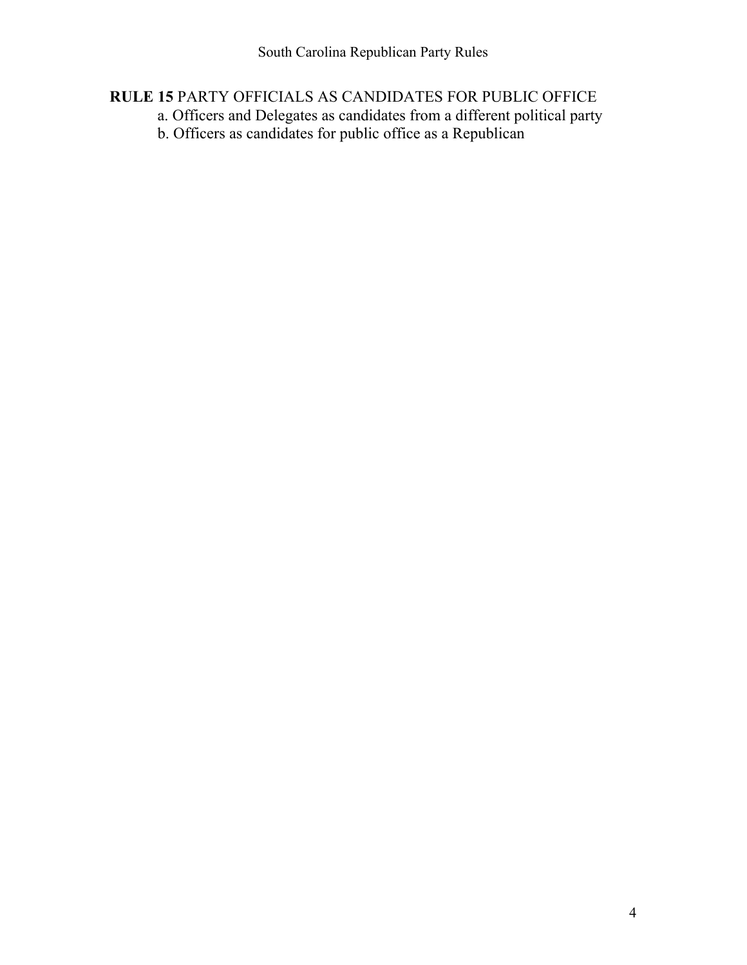#### **RULE 15** PARTY OFFICIALS AS CANDIDATES FOR PUBLIC OFFICE

- a. Officers and Delegates as candidates from a different political party
- b. Officers as candidates for public office as a Republican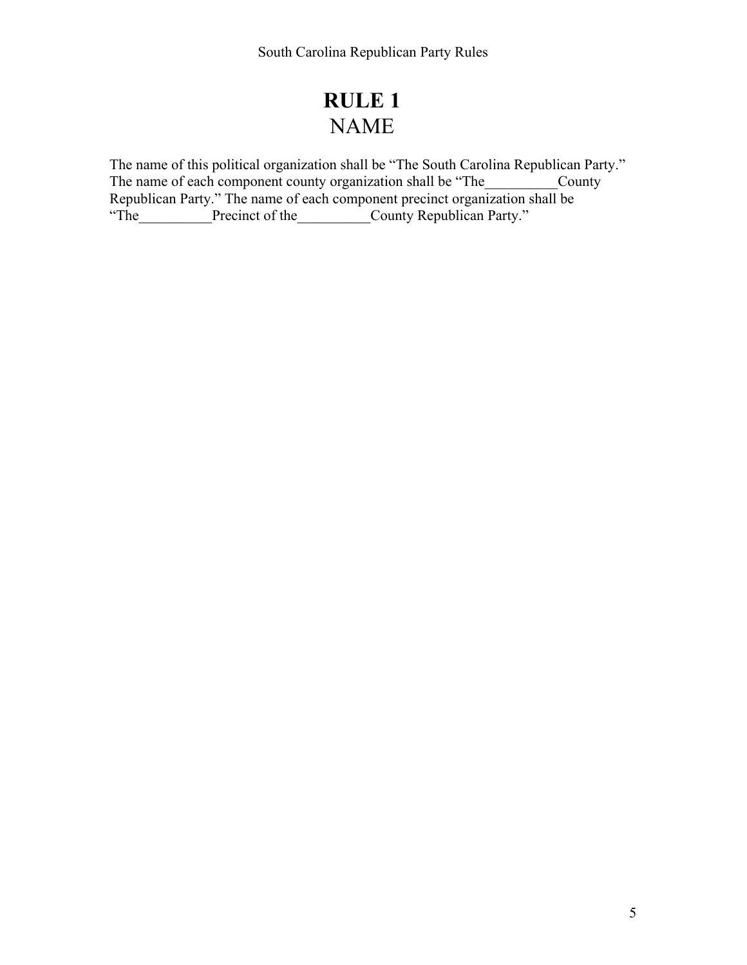## **RULE 1** NAME

The name of this political organization shall be "The South Carolina Republican Party." The name of each component county organization shall be "The County Republican Party." The name of each component precinct organization shall be "The Precinct of the County Republican Party."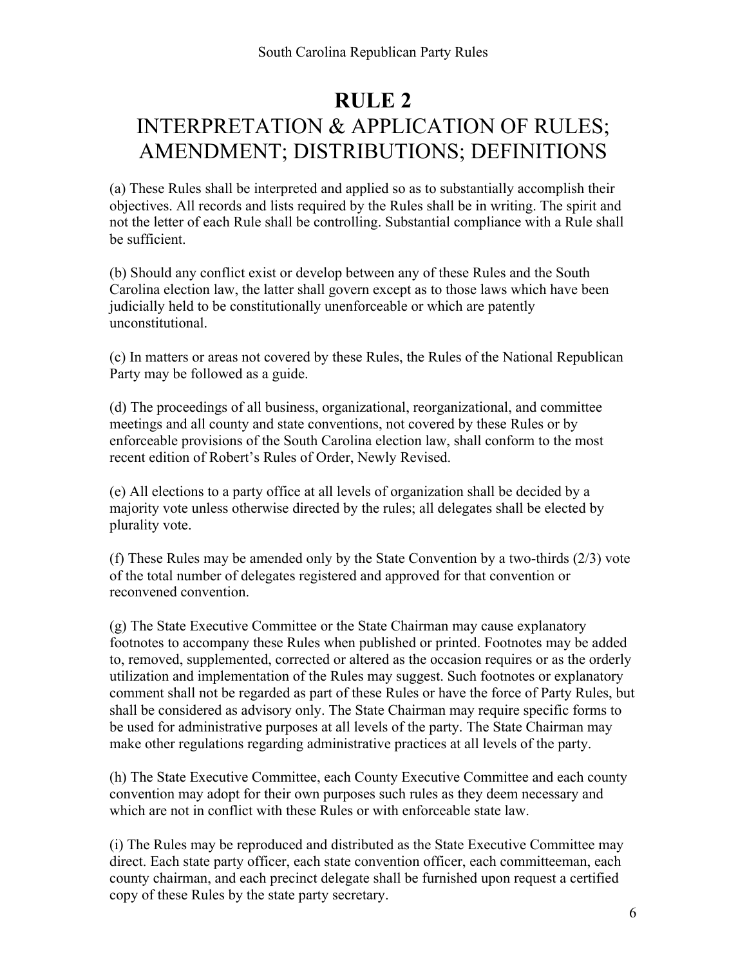## **RULE 2** INTERPRETATION & APPLICATION OF RULES; AMENDMENT; DISTRIBUTIONS; DEFINITIONS

(a) These Rules shall be interpreted and applied so as to substantially accomplish their objectives. All records and lists required by the Rules shall be in writing. The spirit and not the letter of each Rule shall be controlling. Substantial compliance with a Rule shall be sufficient.

(b) Should any conflict exist or develop between any of these Rules and the South Carolina election law, the latter shall govern except as to those laws which have been judicially held to be constitutionally unenforceable or which are patently unconstitutional.

(c) In matters or areas not covered by these Rules, the Rules of the National Republican Party may be followed as a guide.

(d) The proceedings of all business, organizational, reorganizational, and committee meetings and all county and state conventions, not covered by these Rules or by enforceable provisions of the South Carolina election law, shall conform to the most recent edition of Robert's Rules of Order, Newly Revised.

(e) All elections to a party office at all levels of organization shall be decided by a majority vote unless otherwise directed by the rules; all delegates shall be elected by plurality vote.

(f) These Rules may be amended only by the State Convention by a two-thirds (2/3) vote of the total number of delegates registered and approved for that convention or reconvened convention.

(g) The State Executive Committee or the State Chairman may cause explanatory footnotes to accompany these Rules when published or printed. Footnotes may be added to, removed, supplemented, corrected or altered as the occasion requires or as the orderly utilization and implementation of the Rules may suggest. Such footnotes or explanatory comment shall not be regarded as part of these Rules or have the force of Party Rules, but shall be considered as advisory only. The State Chairman may require specific forms to be used for administrative purposes at all levels of the party. The State Chairman may make other regulations regarding administrative practices at all levels of the party.

(h) The State Executive Committee, each County Executive Committee and each county convention may adopt for their own purposes such rules as they deem necessary and which are not in conflict with these Rules or with enforceable state law.

(i) The Rules may be reproduced and distributed as the State Executive Committee may direct. Each state party officer, each state convention officer, each committeeman, each county chairman, and each precinct delegate shall be furnished upon request a certified copy of these Rules by the state party secretary.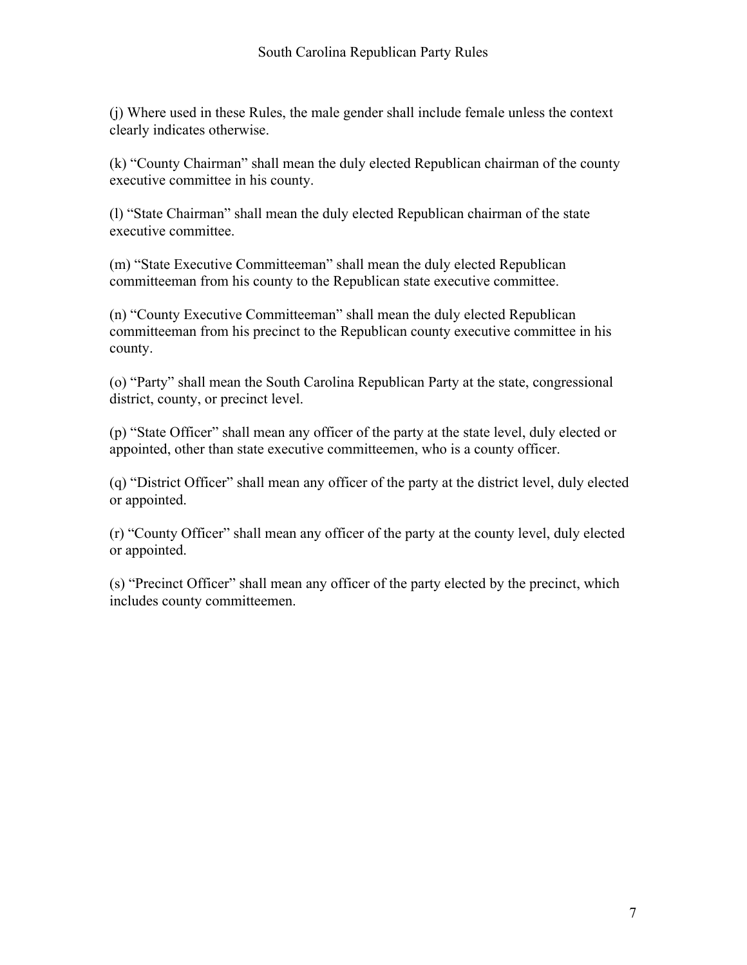(j) Where used in these Rules, the male gender shall include female unless the context clearly indicates otherwise.

(k) "County Chairman" shall mean the duly elected Republican chairman of the county executive committee in his county.

(l) "State Chairman" shall mean the duly elected Republican chairman of the state executive committee.

(m) "State Executive Committeeman" shall mean the duly elected Republican committeeman from his county to the Republican state executive committee.

(n) "County Executive Committeeman" shall mean the duly elected Republican committeeman from his precinct to the Republican county executive committee in his county.

(o) "Party" shall mean the South Carolina Republican Party at the state, congressional district, county, or precinct level.

(p) "State Officer" shall mean any officer of the party at the state level, duly elected or appointed, other than state executive committeemen, who is a county officer.

(q) "District Officer" shall mean any officer of the party at the district level, duly elected or appointed.

(r) "County Officer" shall mean any officer of the party at the county level, duly elected or appointed.

(s) "Precinct Officer" shall mean any officer of the party elected by the precinct, which includes county committeemen.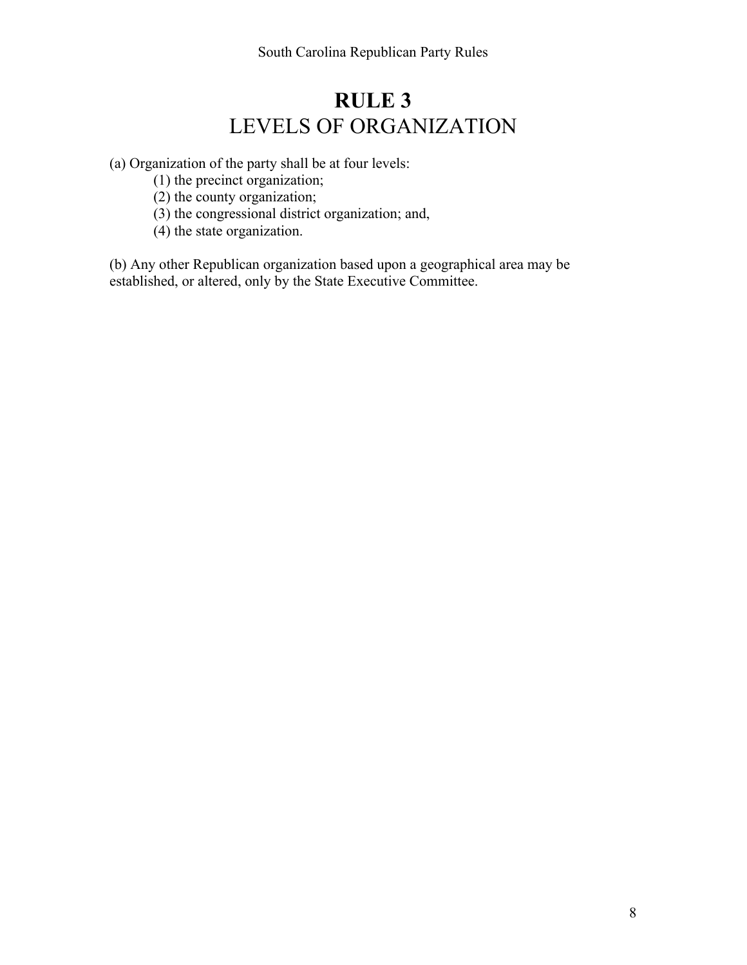## **RULE 3** LEVELS OF ORGANIZATION

(a) Organization of the party shall be at four levels:

- (1) the precinct organization;
- (2) the county organization;
- (3) the congressional district organization; and,
- (4) the state organization.

(b) Any other Republican organization based upon a geographical area may be established, or altered, only by the State Executive Committee.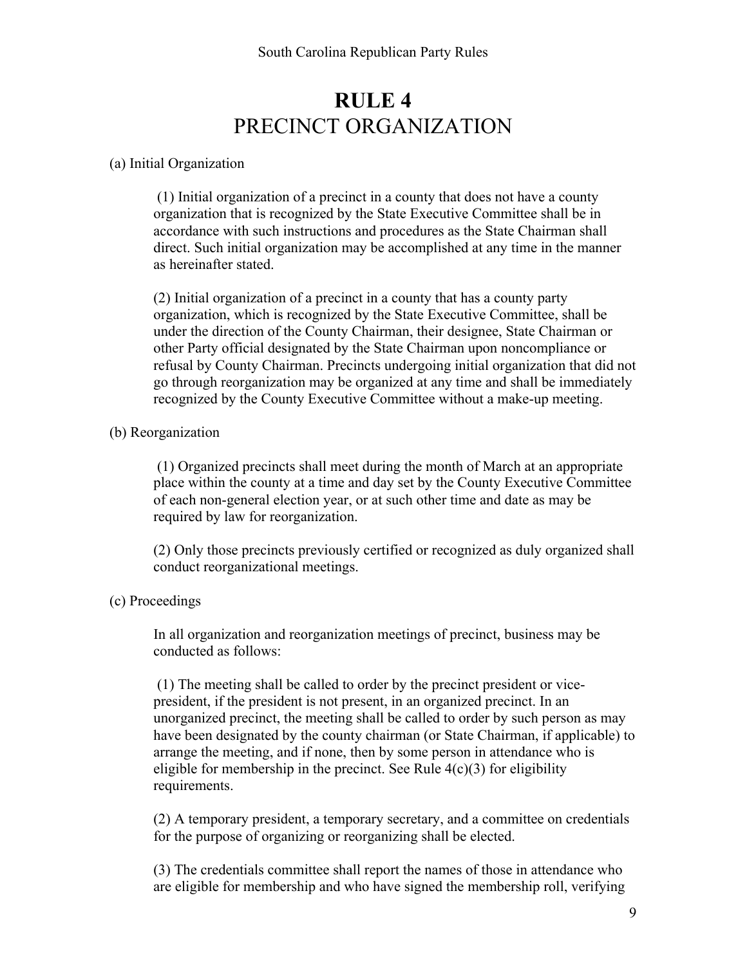## **RULE 4** PRECINCT ORGANIZATION

#### (a) Initial Organization

(1) Initial organization of a precinct in a county that does not have a county organization that is recognized by the State Executive Committee shall be in accordance with such instructions and procedures as the State Chairman shall direct. Such initial organization may be accomplished at any time in the manner as hereinafter stated.

(2) Initial organization of a precinct in a county that has a county party organization, which is recognized by the State Executive Committee, shall be under the direction of the County Chairman, their designee, State Chairman or other Party official designated by the State Chairman upon noncompliance or refusal by County Chairman. Precincts undergoing initial organization that did not go through reorganization may be organized at any time and shall be immediately recognized by the County Executive Committee without a make-up meeting.

#### (b) Reorganization

(1) Organized precincts shall meet during the month of March at an appropriate place within the county at a time and day set by the County Executive Committee of each non-general election year, or at such other time and date as may be required by law for reorganization.

(2) Only those precincts previously certified or recognized as duly organized shall conduct reorganizational meetings.

#### (c) Proceedings

In all organization and reorganization meetings of precinct, business may be conducted as follows:

(1) The meeting shall be called to order by the precinct president or vicepresident, if the president is not present, in an organized precinct. In an unorganized precinct, the meeting shall be called to order by such person as may have been designated by the county chairman (or State Chairman, if applicable) to arrange the meeting, and if none, then by some person in attendance who is eligible for membership in the precinct. See Rule  $4(c)(3)$  for eligibility requirements.

(2) A temporary president, a temporary secretary, and a committee on credentials for the purpose of organizing or reorganizing shall be elected.

(3) The credentials committee shall report the names of those in attendance who are eligible for membership and who have signed the membership roll, verifying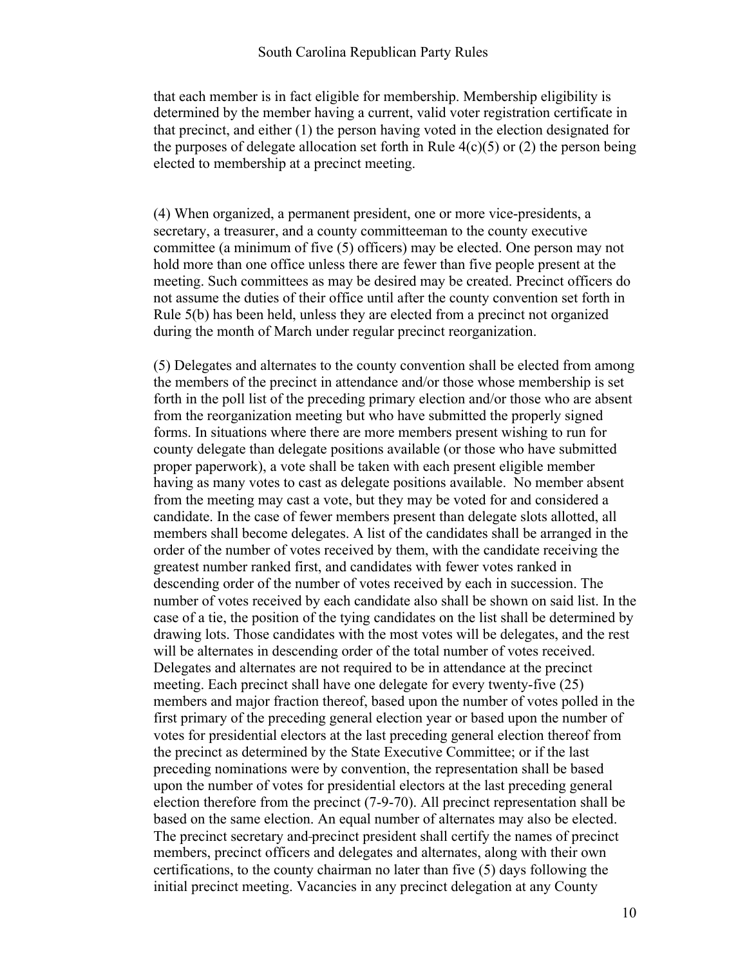#### South Carolina Republican Party Rules

that each member is in fact eligible for membership. Membership eligibility is determined by the member having a current, valid voter registration certificate in that precinct, and either (1) the person having voted in the election designated for the purposes of delegate allocation set forth in Rule  $4(c)(5)$  or (2) the person being elected to membership at a precinct meeting.

(4) When organized, a permanent president, one or more vice-presidents, a secretary, a treasurer, and a county committeeman to the county executive committee (a minimum of five (5) officers) may be elected. One person may not hold more than one office unless there are fewer than five people present at the meeting. Such committees as may be desired may be created. Precinct officers do not assume the duties of their office until after the county convention set forth in Rule 5(b) has been held, unless they are elected from a precinct not organized during the month of March under regular precinct reorganization.

(5) Delegates and alternates to the county convention shall be elected from among the members of the precinct in attendance and/or those whose membership is set forth in the poll list of the preceding primary election and/or those who are absent from the reorganization meeting but who have submitted the properly signed forms. In situations where there are more members present wishing to run for county delegate than delegate positions available (or those who have submitted proper paperwork), a vote shall be taken with each present eligible member having as many votes to cast as delegate positions available. No member absent from the meeting may cast a vote, but they may be voted for and considered a candidate. In the case of fewer members present than delegate slots allotted, all members shall become delegates. A list of the candidates shall be arranged in the order of the number of votes received by them, with the candidate receiving the greatest number ranked first, and candidates with fewer votes ranked in descending order of the number of votes received by each in succession. The number of votes received by each candidate also shall be shown on said list. In the case of a tie, the position of the tying candidates on the list shall be determined by drawing lots. Those candidates with the most votes will be delegates, and the rest will be alternates in descending order of the total number of votes received. Delegates and alternates are not required to be in attendance at the precinct meeting. Each precinct shall have one delegate for every twenty-five (25) members and major fraction thereof, based upon the number of votes polled in the first primary of the preceding general election year or based upon the number of votes for presidential electors at the last preceding general election thereof from the precinct as determined by the State Executive Committee; or if the last preceding nominations were by convention, the representation shall be based upon the number of votes for presidential electors at the last preceding general election therefore from the precinct (7-9-70). All precinct representation shall be based on the same election. An equal number of alternates may also be elected. The precinct secretary and precinct president shall certify the names of precinct members, precinct officers and delegates and alternates, along with their own certifications, to the county chairman no later than five (5) days following the initial precinct meeting. Vacancies in any precinct delegation at any County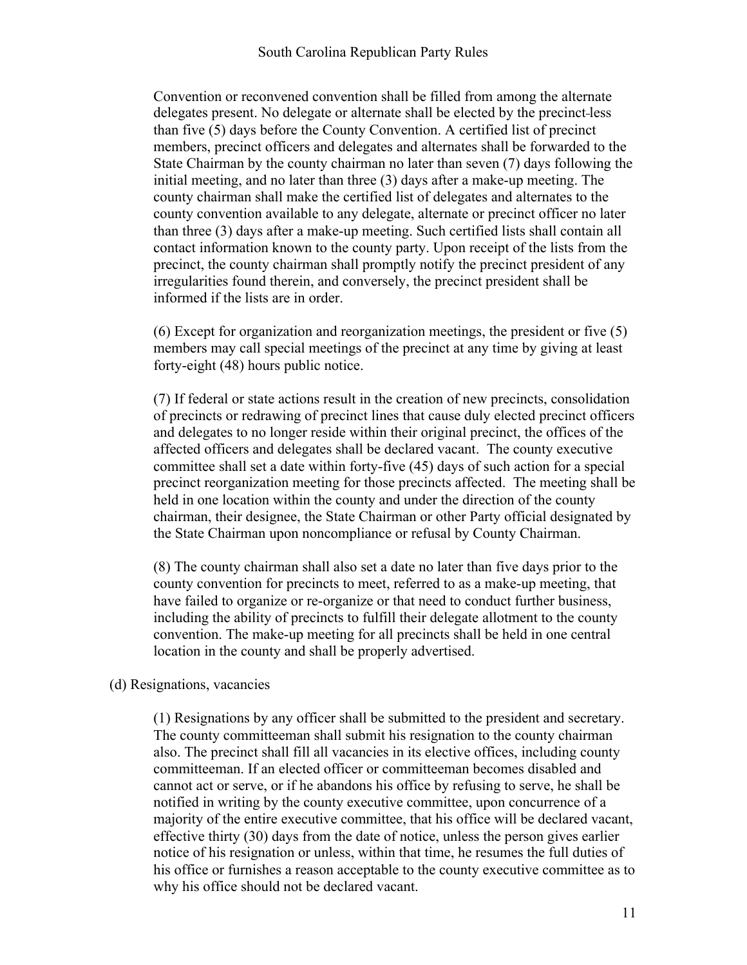Convention or reconvened convention shall be filled from among the alternate delegates present. No delegate or alternate shall be elected by the precinct less than five (5) days before the County Convention. A certified list of precinct members, precinct officers and delegates and alternates shall be forwarded to the State Chairman by the county chairman no later than seven (7) days following the initial meeting, and no later than three (3) days after a make-up meeting. The county chairman shall make the certified list of delegates and alternates to the county convention available to any delegate, alternate or precinct officer no later than three (3) days after a make-up meeting. Such certified lists shall contain all contact information known to the county party. Upon receipt of the lists from the precinct, the county chairman shall promptly notify the precinct president of any irregularities found therein, and conversely, the precinct president shall be informed if the lists are in order.

(6) Except for organization and reorganization meetings, the president or five (5) members may call special meetings of the precinct at any time by giving at least forty-eight (48) hours public notice.

(7) If federal or state actions result in the creation of new precincts, consolidation of precincts or redrawing of precinct lines that cause duly elected precinct officers and delegates to no longer reside within their original precinct, the offices of the affected officers and delegates shall be declared vacant. The county executive committee shall set a date within forty-five (45) days of such action for a special precinct reorganization meeting for those precincts affected. The meeting shall be held in one location within the county and under the direction of the county chairman, their designee, the State Chairman or other Party official designated by the State Chairman upon noncompliance or refusal by County Chairman.

(8) The county chairman shall also set a date no later than five days prior to the county convention for precincts to meet, referred to as a make-up meeting, that have failed to organize or re-organize or that need to conduct further business, including the ability of precincts to fulfill their delegate allotment to the county convention. The make-up meeting for all precincts shall be held in one central location in the county and shall be properly advertised.

#### (d) Resignations, vacancies

(1) Resignations by any officer shall be submitted to the president and secretary. The county committeeman shall submit his resignation to the county chairman also. The precinct shall fill all vacancies in its elective offices, including county committeeman. If an elected officer or committeeman becomes disabled and cannot act or serve, or if he abandons his office by refusing to serve, he shall be notified in writing by the county executive committee, upon concurrence of a majority of the entire executive committee, that his office will be declared vacant, effective thirty (30) days from the date of notice, unless the person gives earlier notice of his resignation or unless, within that time, he resumes the full duties of his office or furnishes a reason acceptable to the county executive committee as to why his office should not be declared vacant.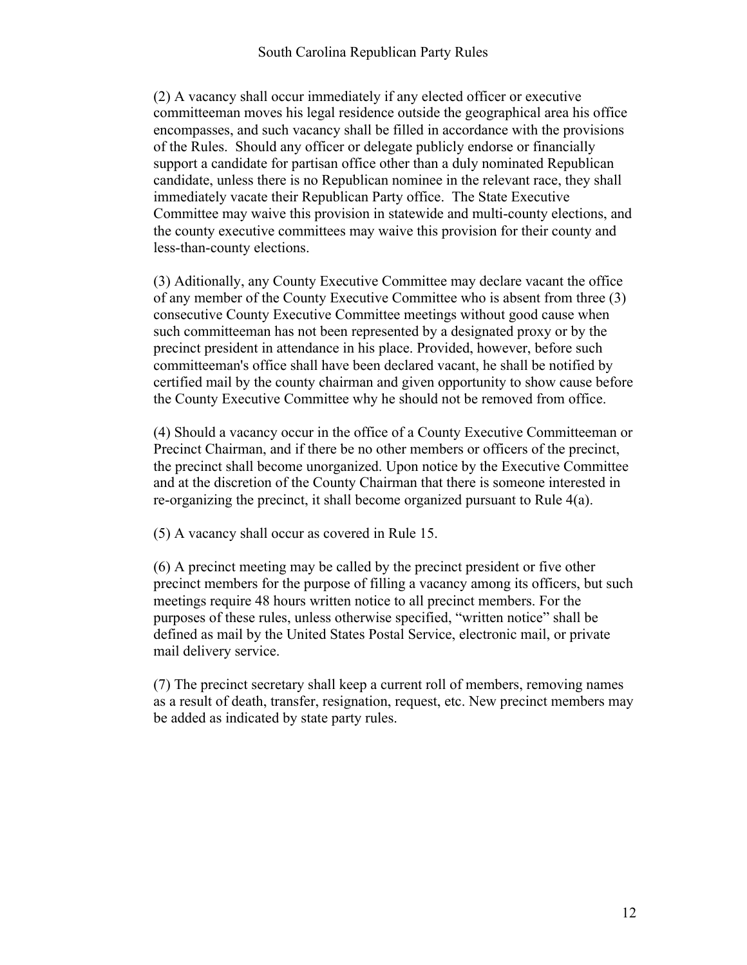(2) A vacancy shall occur immediately if any elected officer or executive committeeman moves his legal residence outside the geographical area his office encompasses, and such vacancy shall be filled in accordance with the provisions of the Rules. Should any officer or delegate publicly endorse or financially support a candidate for partisan office other than a duly nominated Republican candidate, unless there is no Republican nominee in the relevant race, they shall immediately vacate their Republican Party office. The State Executive Committee may waive this provision in statewide and multi-county elections, and the county executive committees may waive this provision for their county and less-than-county elections.

(3) Aditionally, any County Executive Committee may declare vacant the office of any member of the County Executive Committee who is absent from three (3) consecutive County Executive Committee meetings without good cause when such committeeman has not been represented by a designated proxy or by the precinct president in attendance in his place. Provided, however, before such committeeman's office shall have been declared vacant, he shall be notified by certified mail by the county chairman and given opportunity to show cause before the County Executive Committee why he should not be removed from office.

(4) Should a vacancy occur in the office of a County Executive Committeeman or Precinct Chairman, and if there be no other members or officers of the precinct, the precinct shall become unorganized. Upon notice by the Executive Committee and at the discretion of the County Chairman that there is someone interested in re-organizing the precinct, it shall become organized pursuant to Rule 4(a).

(5) A vacancy shall occur as covered in Rule 15.

(6) A precinct meeting may be called by the precinct president or five other precinct members for the purpose of filling a vacancy among its officers, but such meetings require 48 hours written notice to all precinct members. For the purposes of these rules, unless otherwise specified, "written notice" shall be defined as mail by the United States Postal Service, electronic mail, or private mail delivery service.

(7) The precinct secretary shall keep a current roll of members, removing names as a result of death, transfer, resignation, request, etc. New precinct members may be added as indicated by state party rules.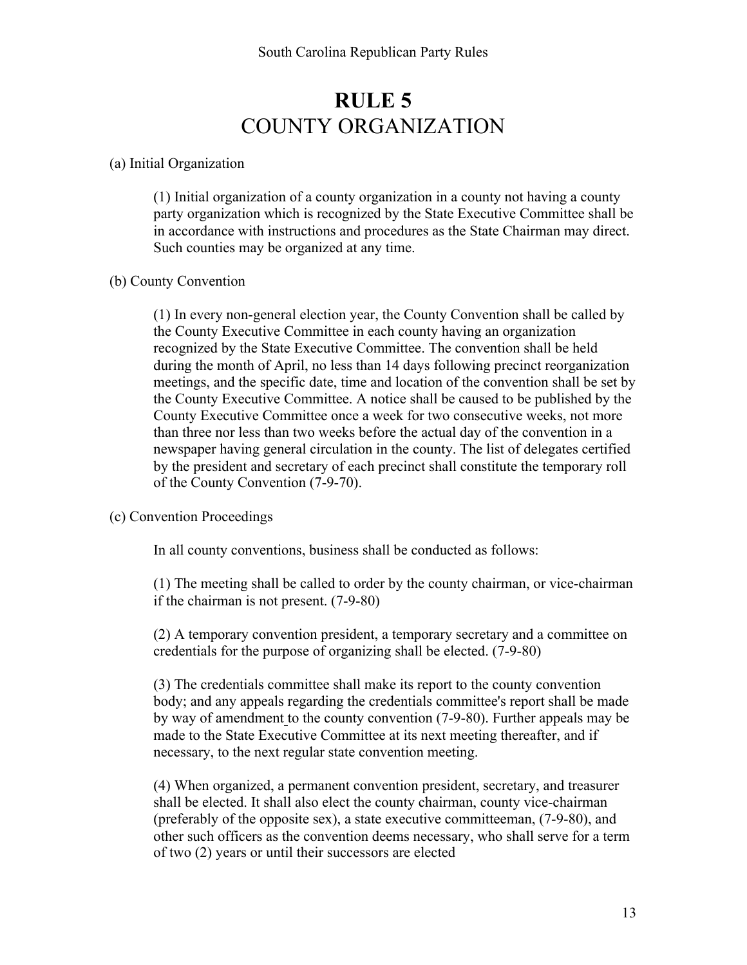## **RULE 5** COUNTY ORGANIZATION

#### (a) Initial Organization

(1) Initial organization of a county organization in a county not having a county party organization which is recognized by the State Executive Committee shall be in accordance with instructions and procedures as the State Chairman may direct. Such counties may be organized at any time.

#### (b) County Convention

(1) In every non-general election year, the County Convention shall be called by the County Executive Committee in each county having an organization recognized by the State Executive Committee. The convention shall be held during the month of April, no less than 14 days following precinct reorganization meetings, and the specific date, time and location of the convention shall be set by the County Executive Committee. A notice shall be caused to be published by the County Executive Committee once a week for two consecutive weeks, not more than three nor less than two weeks before the actual day of the convention in a newspaper having general circulation in the county. The list of delegates certified by the president and secretary of each precinct shall constitute the temporary roll of the County Convention (7-9-70).

#### (c) Convention Proceedings

In all county conventions, business shall be conducted as follows:

(1) The meeting shall be called to order by the county chairman, or vice-chairman if the chairman is not present. (7-9-80)

(2) A temporary convention president, a temporary secretary and a committee on credentials for the purpose of organizing shall be elected. (7-9-80)

(3) The credentials committee shall make its report to the county convention body; and any appeals regarding the credentials committee's report shall be made by way of amendment to the county convention (7-9-80). Further appeals may be made to the State Executive Committee at its next meeting thereafter, and if necessary, to the next regular state convention meeting.

(4) When organized, a permanent convention president, secretary, and treasurer shall be elected. It shall also elect the county chairman, county vice-chairman (preferably of the opposite sex), a state executive committeeman, (7-9-80), and other such officers as the convention deems necessary, who shall serve for a term of two (2) years or until their successors are elected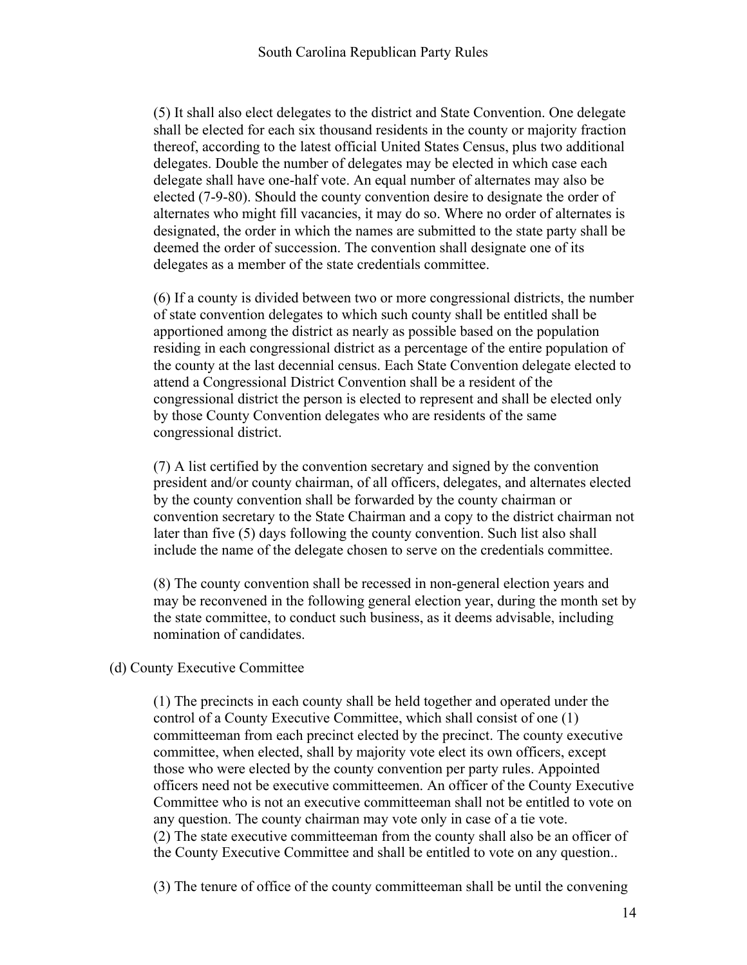(5) It shall also elect delegates to the district and State Convention. One delegate shall be elected for each six thousand residents in the county or majority fraction thereof, according to the latest official United States Census, plus two additional delegates. Double the number of delegates may be elected in which case each delegate shall have one-half vote. An equal number of alternates may also be elected (7-9-80). Should the county convention desire to designate the order of alternates who might fill vacancies, it may do so. Where no order of alternates is designated, the order in which the names are submitted to the state party shall be deemed the order of succession. The convention shall designate one of its delegates as a member of the state credentials committee.

(6) If a county is divided between two or more congressional districts, the number of state convention delegates to which such county shall be entitled shall be apportioned among the district as nearly as possible based on the population residing in each congressional district as a percentage of the entire population of the county at the last decennial census. Each State Convention delegate elected to attend a Congressional District Convention shall be a resident of the congressional district the person is elected to represent and shall be elected only by those County Convention delegates who are residents of the same congressional district.

(7) A list certified by the convention secretary and signed by the convention president and/or county chairman, of all officers, delegates, and alternates elected by the county convention shall be forwarded by the county chairman or convention secretary to the State Chairman and a copy to the district chairman not later than five (5) days following the county convention. Such list also shall include the name of the delegate chosen to serve on the credentials committee.

(8) The county convention shall be recessed in non-general election years and may be reconvened in the following general election year, during the month set by the state committee, to conduct such business, as it deems advisable, including nomination of candidates.

#### (d) County Executive Committee

(1) The precincts in each county shall be held together and operated under the control of a County Executive Committee, which shall consist of one (1) committeeman from each precinct elected by the precinct. The county executive committee, when elected, shall by majority vote elect its own officers, except those who were elected by the county convention per party rules. Appointed officers need not be executive committeemen. An officer of the County Executive Committee who is not an executive committeeman shall not be entitled to vote on any question. The county chairman may vote only in case of a tie vote. (2) The state executive committeeman from the county shall also be an officer of the County Executive Committee and shall be entitled to vote on any question..

(3) The tenure of office of the county committeeman shall be until the convening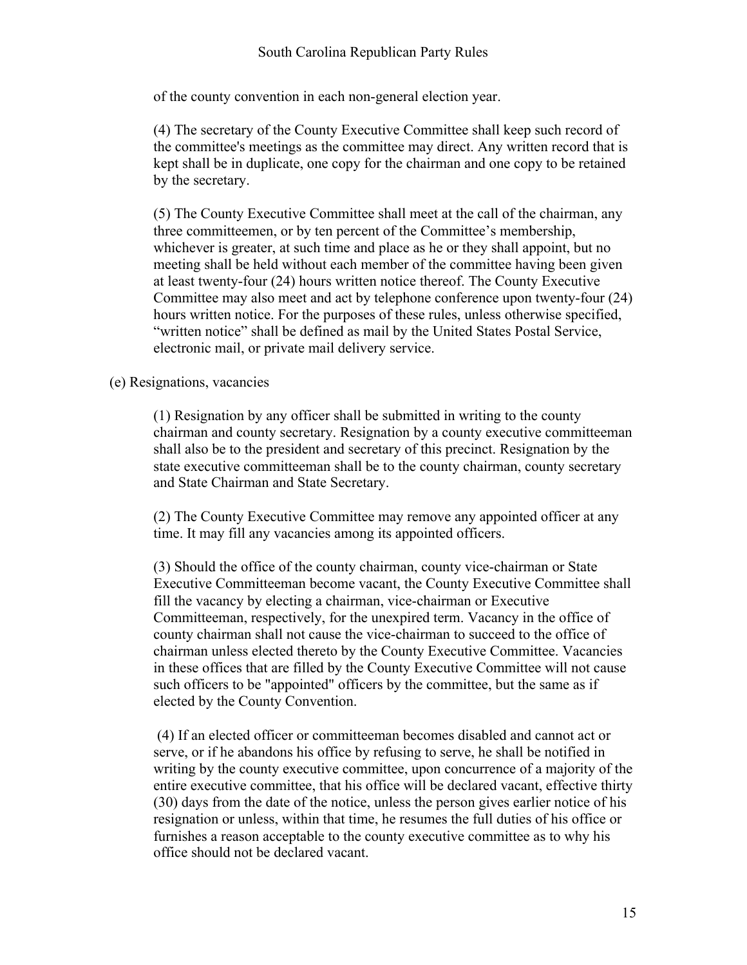of the county convention in each non-general election year.

(4) The secretary of the County Executive Committee shall keep such record of the committee's meetings as the committee may direct. Any written record that is kept shall be in duplicate, one copy for the chairman and one copy to be retained by the secretary.

(5) The County Executive Committee shall meet at the call of the chairman, any three committeemen, or by ten percent of the Committee's membership, whichever is greater, at such time and place as he or they shall appoint, but no meeting shall be held without each member of the committee having been given at least twenty-four (24) hours written notice thereof. The County Executive Committee may also meet and act by telephone conference upon twenty-four (24) hours written notice. For the purposes of these rules, unless otherwise specified, "written notice" shall be defined as mail by the United States Postal Service, electronic mail, or private mail delivery service.

#### (e) Resignations, vacancies

(1) Resignation by any officer shall be submitted in writing to the county chairman and county secretary. Resignation by a county executive committeeman shall also be to the president and secretary of this precinct. Resignation by the state executive committeeman shall be to the county chairman, county secretary and State Chairman and State Secretary.

(2) The County Executive Committee may remove any appointed officer at any time. It may fill any vacancies among its appointed officers.

(3) Should the office of the county chairman, county vice-chairman or State Executive Committeeman become vacant, the County Executive Committee shall fill the vacancy by electing a chairman, vice-chairman or Executive Committeeman, respectively, for the unexpired term. Vacancy in the office of county chairman shall not cause the vice-chairman to succeed to the office of chairman unless elected thereto by the County Executive Committee. Vacancies in these offices that are filled by the County Executive Committee will not cause such officers to be "appointed" officers by the committee, but the same as if elected by the County Convention.

(4) If an elected officer or committeeman becomes disabled and cannot act or serve, or if he abandons his office by refusing to serve, he shall be notified in writing by the county executive committee, upon concurrence of a majority of the entire executive committee, that his office will be declared vacant, effective thirty (30) days from the date of the notice, unless the person gives earlier notice of his resignation or unless, within that time, he resumes the full duties of his office or furnishes a reason acceptable to the county executive committee as to why his office should not be declared vacant.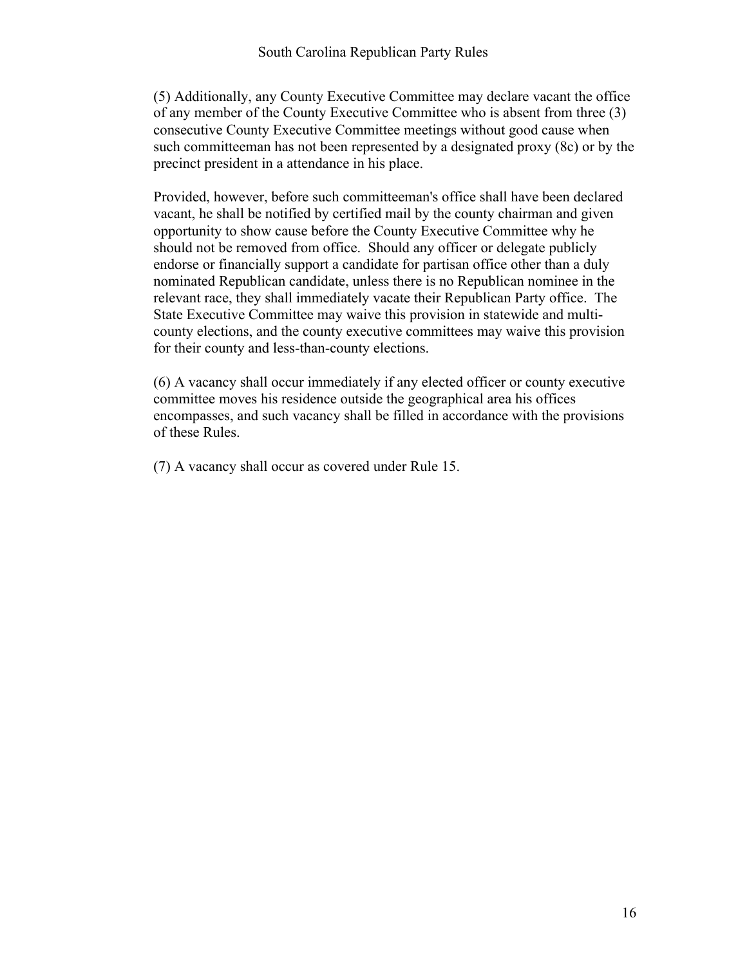(5) Additionally, any County Executive Committee may declare vacant the office of any member of the County Executive Committee who is absent from three (3) consecutive County Executive Committee meetings without good cause when such committeeman has not been represented by a designated proxy (8c) or by the precinct president in a attendance in his place.

Provided, however, before such committeeman's office shall have been declared vacant, he shall be notified by certified mail by the county chairman and given opportunity to show cause before the County Executive Committee why he should not be removed from office. Should any officer or delegate publicly endorse or financially support a candidate for partisan office other than a duly nominated Republican candidate, unless there is no Republican nominee in the relevant race, they shall immediately vacate their Republican Party office. The State Executive Committee may waive this provision in statewide and multicounty elections, and the county executive committees may waive this provision for their county and less-than-county elections.

(6) A vacancy shall occur immediately if any elected officer or county executive committee moves his residence outside the geographical area his offices encompasses, and such vacancy shall be filled in accordance with the provisions of these Rules.

(7) A vacancy shall occur as covered under Rule 15.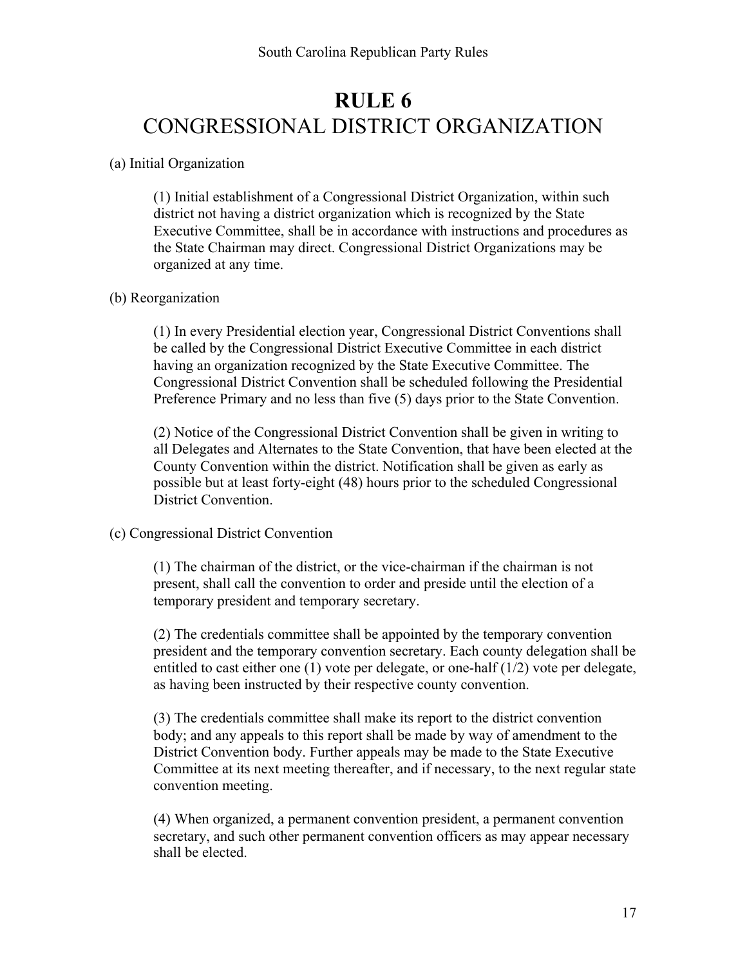## **RULE 6** CONGRESSIONAL DISTRICT ORGANIZATION

#### (a) Initial Organization

(1) Initial establishment of a Congressional District Organization, within such district not having a district organization which is recognized by the State Executive Committee, shall be in accordance with instructions and procedures as the State Chairman may direct. Congressional District Organizations may be organized at any time.

#### (b) Reorganization

(1) In every Presidential election year, Congressional District Conventions shall be called by the Congressional District Executive Committee in each district having an organization recognized by the State Executive Committee. The Congressional District Convention shall be scheduled following the Presidential Preference Primary and no less than five (5) days prior to the State Convention.

(2) Notice of the Congressional District Convention shall be given in writing to all Delegates and Alternates to the State Convention, that have been elected at the County Convention within the district. Notification shall be given as early as possible but at least forty-eight (48) hours prior to the scheduled Congressional District Convention.

#### (c) Congressional District Convention

(1) The chairman of the district, or the vice-chairman if the chairman is not present, shall call the convention to order and preside until the election of a temporary president and temporary secretary.

(2) The credentials committee shall be appointed by the temporary convention president and the temporary convention secretary. Each county delegation shall be entitled to cast either one  $(1)$  vote per delegate, or one-half  $(1/2)$  vote per delegate, as having been instructed by their respective county convention.

(3) The credentials committee shall make its report to the district convention body; and any appeals to this report shall be made by way of amendment to the District Convention body. Further appeals may be made to the State Executive Committee at its next meeting thereafter, and if necessary, to the next regular state convention meeting.

(4) When organized, a permanent convention president, a permanent convention secretary, and such other permanent convention officers as may appear necessary shall be elected.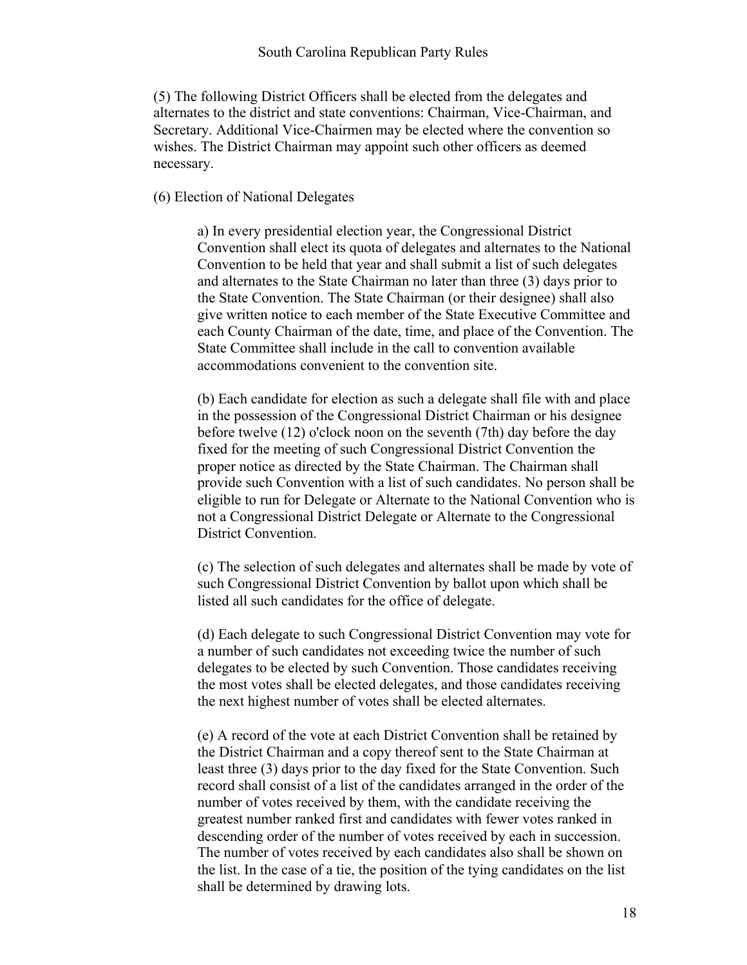(5) The following District Officers shall be elected from the delegates and alternates to the district and state conventions: Chairman, Vice-Chairman, and Secretary. Additional Vice-Chairmen may be elected where the convention so wishes. The District Chairman may appoint such other officers as deemed necessary.

#### (6) Election of National Delegates

a) In every presidential election year, the Congressional District Convention shall elect its quota of delegates and alternates to the National Convention to be held that year and shall submit a list of such delegates and alternates to the State Chairman no later than three (3) days prior to the State Convention. The State Chairman (or their designee) shall also give written notice to each member of the State Executive Committee and each County Chairman of the date, time, and place of the Convention. The State Committee shall include in the call to convention available accommodations convenient to the convention site.

(b) Each candidate for election as such a delegate shall file with and place in the possession of the Congressional District Chairman or his designee before twelve (12) o'clock noon on the seventh (7th) day before the day fixed for the meeting of such Congressional District Convention the proper notice as directed by the State Chairman. The Chairman shall provide such Convention with a list of such candidates. No person shall be eligible to run for Delegate or Alternate to the National Convention who is not a Congressional District Delegate or Alternate to the Congressional District Convention.

(c) The selection of such delegates and alternates shall be made by vote of such Congressional District Convention by ballot upon which shall be listed all such candidates for the office of delegate.

(d) Each delegate to such Congressional District Convention may vote for a number of such candidates not exceeding twice the number of such delegates to be elected by such Convention. Those candidates receiving the most votes shall be elected delegates, and those candidates receiving the next highest number of votes shall be elected alternates.

(e) A record of the vote at each District Convention shall be retained by the District Chairman and a copy thereof sent to the State Chairman at least three (3) days prior to the day fixed for the State Convention. Such record shall consist of a list of the candidates arranged in the order of the number of votes received by them, with the candidate receiving the greatest number ranked first and candidates with fewer votes ranked in descending order of the number of votes received by each in succession. The number of votes received by each candidates also shall be shown on the list. In the case of a tie, the position of the tying candidates on the list shall be determined by drawing lots.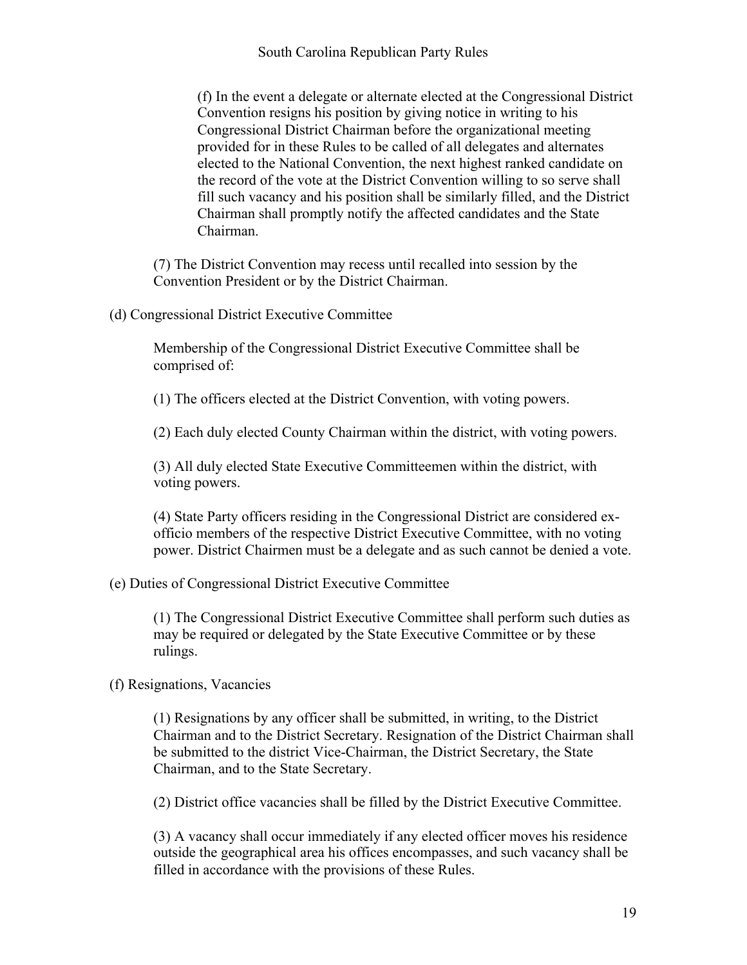(f) In the event a delegate or alternate elected at the Congressional District Convention resigns his position by giving notice in writing to his Congressional District Chairman before the organizational meeting provided for in these Rules to be called of all delegates and alternates elected to the National Convention, the next highest ranked candidate on the record of the vote at the District Convention willing to so serve shall fill such vacancy and his position shall be similarly filled, and the District Chairman shall promptly notify the affected candidates and the State Chairman.

(7) The District Convention may recess until recalled into session by the Convention President or by the District Chairman.

(d) Congressional District Executive Committee

Membership of the Congressional District Executive Committee shall be comprised of:

(1) The officers elected at the District Convention, with voting powers.

(2) Each duly elected County Chairman within the district, with voting powers.

(3) All duly elected State Executive Committeemen within the district, with voting powers.

(4) State Party officers residing in the Congressional District are considered exofficio members of the respective District Executive Committee, with no voting power. District Chairmen must be a delegate and as such cannot be denied a vote.

#### (e) Duties of Congressional District Executive Committee

(1) The Congressional District Executive Committee shall perform such duties as may be required or delegated by the State Executive Committee or by these rulings.

(f) Resignations, Vacancies

(1) Resignations by any officer shall be submitted, in writing, to the District Chairman and to the District Secretary. Resignation of the District Chairman shall be submitted to the district Vice-Chairman, the District Secretary, the State Chairman, and to the State Secretary.

(2) District office vacancies shall be filled by the District Executive Committee.

(3) A vacancy shall occur immediately if any elected officer moves his residence outside the geographical area his offices encompasses, and such vacancy shall be filled in accordance with the provisions of these Rules.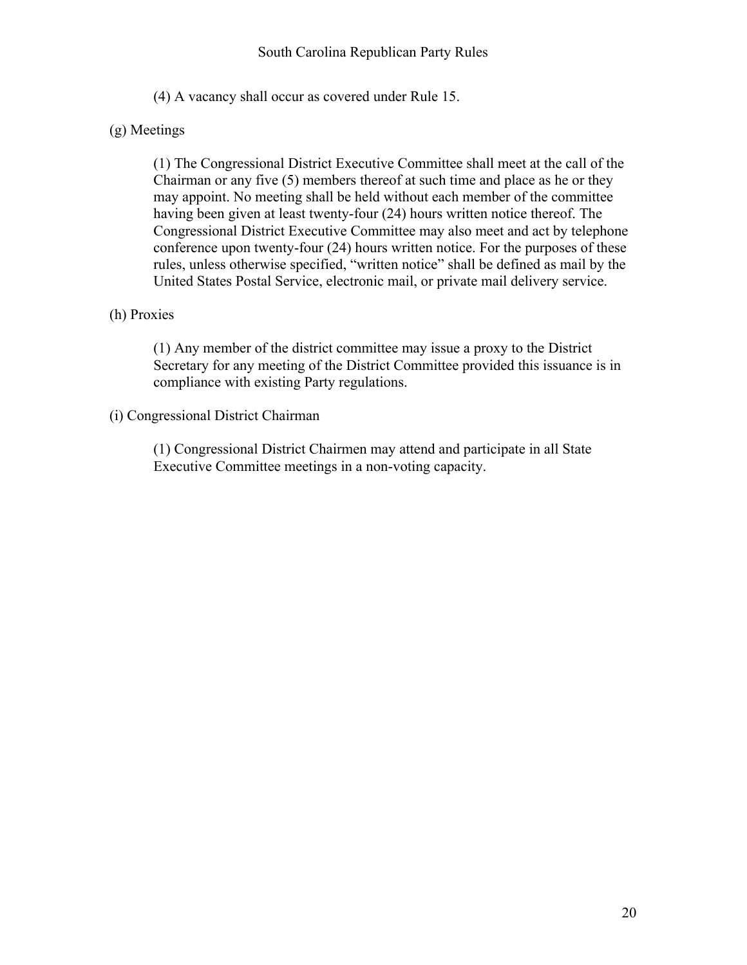(4) A vacancy shall occur as covered under Rule 15.

#### (g) Meetings

(1) The Congressional District Executive Committee shall meet at the call of the Chairman or any five (5) members thereof at such time and place as he or they may appoint. No meeting shall be held without each member of the committee having been given at least twenty-four (24) hours written notice thereof. The Congressional District Executive Committee may also meet and act by telephone conference upon twenty-four (24) hours written notice. For the purposes of these rules, unless otherwise specified, "written notice" shall be defined as mail by the United States Postal Service, electronic mail, or private mail delivery service.

#### (h) Proxies

(1) Any member of the district committee may issue a proxy to the District Secretary for any meeting of the District Committee provided this issuance is in compliance with existing Party regulations.

#### (i) Congressional District Chairman

(1) Congressional District Chairmen may attend and participate in all State Executive Committee meetings in a non-voting capacity.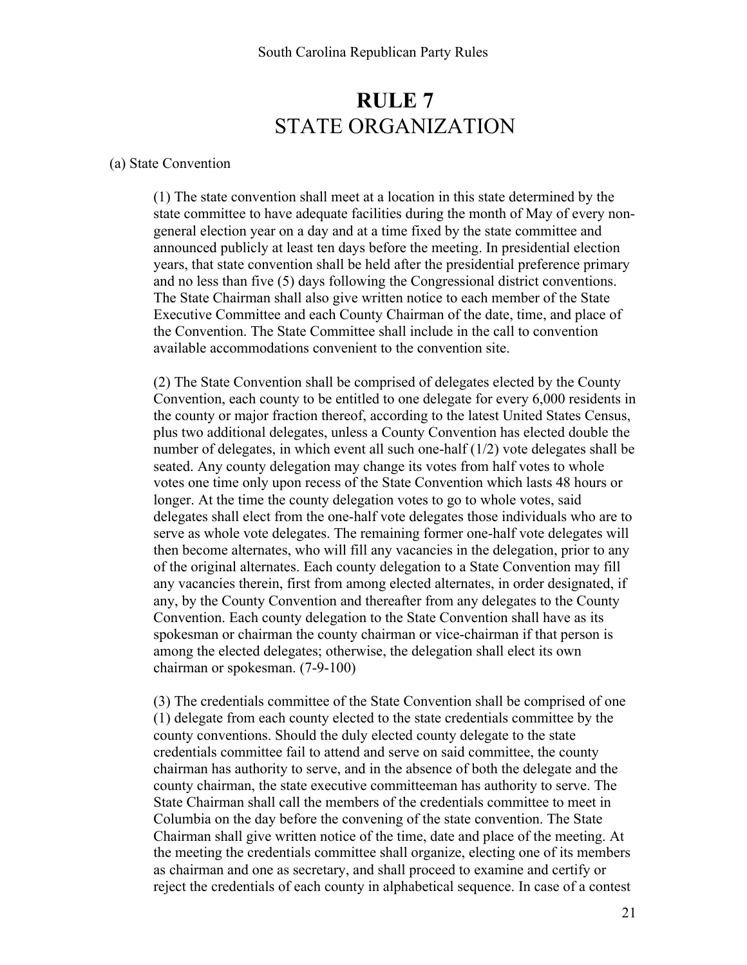### **RULE 7** STATE ORGANIZATION

#### (a) State Convention

(1) The state convention shall meet at a location in this state determined by the state committee to have adequate facilities during the month of May of every nongeneral election year on a day and at a time fixed by the state committee and announced publicly at least ten days before the meeting. In presidential election years, that state convention shall be held after the presidential preference primary and no less than five (5) days following the Congressional district conventions. The State Chairman shall also give written notice to each member of the State Executive Committee and each County Chairman of the date, time, and place of the Convention. The State Committee shall include in the call to convention available accommodations convenient to the convention site.

(2) The State Convention shall be comprised of delegates elected by the County Convention, each county to be entitled to one delegate for every 6,000 residents in the county or major fraction thereof, according to the latest United States Census, plus two additional delegates, unless a County Convention has elected double the number of delegates, in which event all such one-half (1/2) vote delegates shall be seated. Any county delegation may change its votes from half votes to whole votes one time only upon recess of the State Convention which lasts 48 hours or longer. At the time the county delegation votes to go to whole votes, said delegates shall elect from the one-half vote delegates those individuals who are to serve as whole vote delegates. The remaining former one-half vote delegates will then become alternates, who will fill any vacancies in the delegation, prior to any of the original alternates. Each county delegation to a State Convention may fill any vacancies therein, first from among elected alternates, in order designated, if any, by the County Convention and thereafter from any delegates to the County Convention. Each county delegation to the State Convention shall have as its spokesman or chairman the county chairman or vice-chairman if that person is among the elected delegates; otherwise, the delegation shall elect its own chairman or spokesman. (7-9-100)

(3) The credentials committee of the State Convention shall be comprised of one (1) delegate from each county elected to the state credentials committee by the county conventions. Should the duly elected county delegate to the state credentials committee fail to attend and serve on said committee, the county chairman has authority to serve, and in the absence of both the delegate and the county chairman, the state executive committeeman has authority to serve. The State Chairman shall call the members of the credentials committee to meet in Columbia on the day before the convening of the state convention. The State Chairman shall give written notice of the time, date and place of the meeting. At the meeting the credentials committee shall organize, electing one of its members as chairman and one as secretary, and shall proceed to examine and certify or reject the credentials of each county in alphabetical sequence. In case of a contest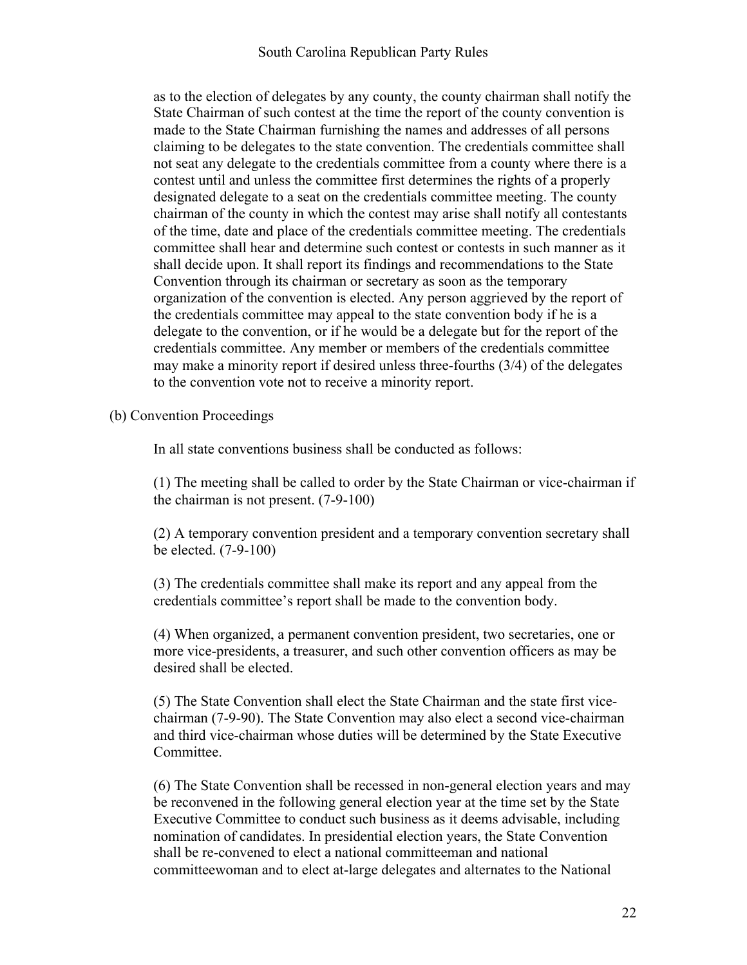as to the election of delegates by any county, the county chairman shall notify the State Chairman of such contest at the time the report of the county convention is made to the State Chairman furnishing the names and addresses of all persons claiming to be delegates to the state convention. The credentials committee shall not seat any delegate to the credentials committee from a county where there is a contest until and unless the committee first determines the rights of a properly designated delegate to a seat on the credentials committee meeting. The county chairman of the county in which the contest may arise shall notify all contestants of the time, date and place of the credentials committee meeting. The credentials committee shall hear and determine such contest or contests in such manner as it shall decide upon. It shall report its findings and recommendations to the State Convention through its chairman or secretary as soon as the temporary organization of the convention is elected. Any person aggrieved by the report of the credentials committee may appeal to the state convention body if he is a delegate to the convention, or if he would be a delegate but for the report of the credentials committee. Any member or members of the credentials committee may make a minority report if desired unless three-fourths (3/4) of the delegates to the convention vote not to receive a minority report.

#### (b) Convention Proceedings

In all state conventions business shall be conducted as follows:

(1) The meeting shall be called to order by the State Chairman or vice-chairman if the chairman is not present. (7-9-100)

(2) A temporary convention president and a temporary convention secretary shall be elected. (7-9-100)

(3) The credentials committee shall make its report and any appeal from the credentials committee's report shall be made to the convention body.

(4) When organized, a permanent convention president, two secretaries, one or more vice-presidents, a treasurer, and such other convention officers as may be desired shall be elected.

(5) The State Convention shall elect the State Chairman and the state first vicechairman (7-9-90). The State Convention may also elect a second vice-chairman and third vice-chairman whose duties will be determined by the State Executive Committee.

(6) The State Convention shall be recessed in non-general election years and may be reconvened in the following general election year at the time set by the State Executive Committee to conduct such business as it deems advisable, including nomination of candidates. In presidential election years, the State Convention shall be re-convened to elect a national committeeman and national committeewoman and to elect at-large delegates and alternates to the National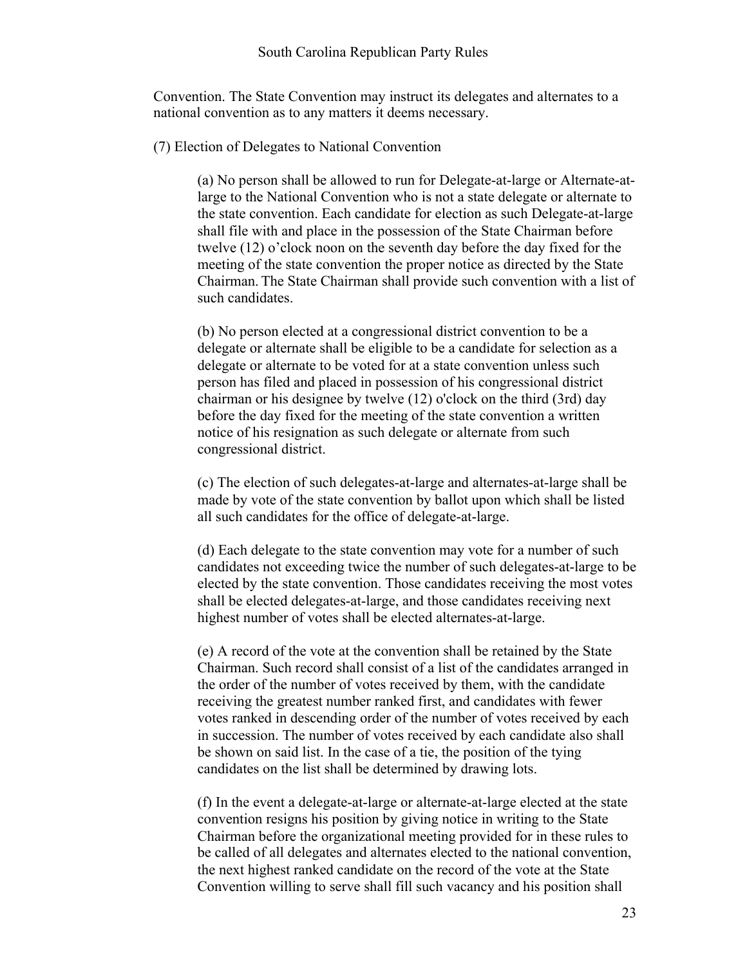Convention. The State Convention may instruct its delegates and alternates to a national convention as to any matters it deems necessary.

(7) Election of Delegates to National Convention

(a) No person shall be allowed to run for Delegate-at-large or Alternate-atlarge to the National Convention who is not a state delegate or alternate to the state convention. Each candidate for election as such Delegate-at-large shall file with and place in the possession of the State Chairman before twelve (12) o'clock noon on the seventh day before the day fixed for the meeting of the state convention the proper notice as directed by the State Chairman. The State Chairman shall provide such convention with a list of such candidates.

(b) No person elected at a congressional district convention to be a delegate or alternate shall be eligible to be a candidate for selection as a delegate or alternate to be voted for at a state convention unless such person has filed and placed in possession of his congressional district chairman or his designee by twelve (12) o'clock on the third (3rd) day before the day fixed for the meeting of the state convention a written notice of his resignation as such delegate or alternate from such congressional district.

(c) The election of such delegates-at-large and alternates-at-large shall be made by vote of the state convention by ballot upon which shall be listed all such candidates for the office of delegate-at-large.

(d) Each delegate to the state convention may vote for a number of such candidates not exceeding twice the number of such delegates-at-large to be elected by the state convention. Those candidates receiving the most votes shall be elected delegates-at-large, and those candidates receiving next highest number of votes shall be elected alternates-at-large.

(e) A record of the vote at the convention shall be retained by the State Chairman. Such record shall consist of a list of the candidates arranged in the order of the number of votes received by them, with the candidate receiving the greatest number ranked first, and candidates with fewer votes ranked in descending order of the number of votes received by each in succession. The number of votes received by each candidate also shall be shown on said list. In the case of a tie, the position of the tying candidates on the list shall be determined by drawing lots.

(f) In the event a delegate-at-large or alternate-at-large elected at the state convention resigns his position by giving notice in writing to the State Chairman before the organizational meeting provided for in these rules to be called of all delegates and alternates elected to the national convention, the next highest ranked candidate on the record of the vote at the State Convention willing to serve shall fill such vacancy and his position shall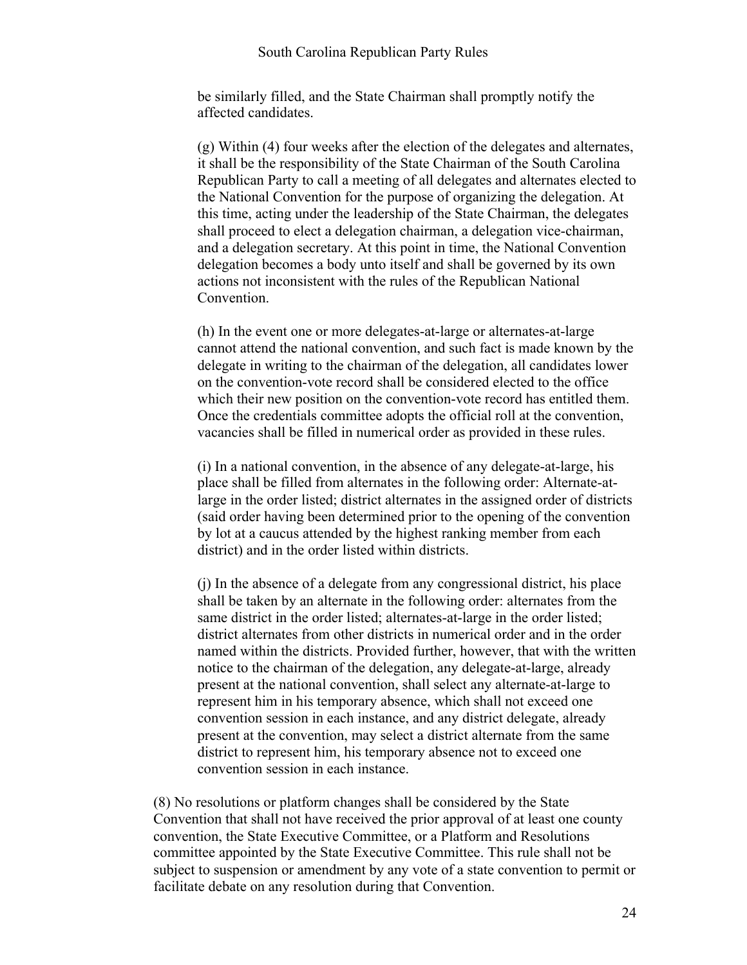#### South Carolina Republican Party Rules

be similarly filled, and the State Chairman shall promptly notify the affected candidates.

(g) Within (4) four weeks after the election of the delegates and alternates, it shall be the responsibility of the State Chairman of the South Carolina Republican Party to call a meeting of all delegates and alternates elected to the National Convention for the purpose of organizing the delegation. At this time, acting under the leadership of the State Chairman, the delegates shall proceed to elect a delegation chairman, a delegation vice-chairman, and a delegation secretary. At this point in time, the National Convention delegation becomes a body unto itself and shall be governed by its own actions not inconsistent with the rules of the Republican National Convention.

(h) In the event one or more delegates-at-large or alternates-at-large cannot attend the national convention, and such fact is made known by the delegate in writing to the chairman of the delegation, all candidates lower on the convention-vote record shall be considered elected to the office which their new position on the convention-vote record has entitled them. Once the credentials committee adopts the official roll at the convention, vacancies shall be filled in numerical order as provided in these rules.

(i) In a national convention, in the absence of any delegate-at-large, his place shall be filled from alternates in the following order: Alternate-atlarge in the order listed; district alternates in the assigned order of districts (said order having been determined prior to the opening of the convention by lot at a caucus attended by the highest ranking member from each district) and in the order listed within districts.

(j) In the absence of a delegate from any congressional district, his place shall be taken by an alternate in the following order: alternates from the same district in the order listed; alternates-at-large in the order listed; district alternates from other districts in numerical order and in the order named within the districts. Provided further, however, that with the written notice to the chairman of the delegation, any delegate-at-large, already present at the national convention, shall select any alternate-at-large to represent him in his temporary absence, which shall not exceed one convention session in each instance, and any district delegate, already present at the convention, may select a district alternate from the same district to represent him, his temporary absence not to exceed one convention session in each instance.

(8) No resolutions or platform changes shall be considered by the State Convention that shall not have received the prior approval of at least one county convention, the State Executive Committee, or a Platform and Resolutions committee appointed by the State Executive Committee. This rule shall not be subject to suspension or amendment by any vote of a state convention to permit or facilitate debate on any resolution during that Convention.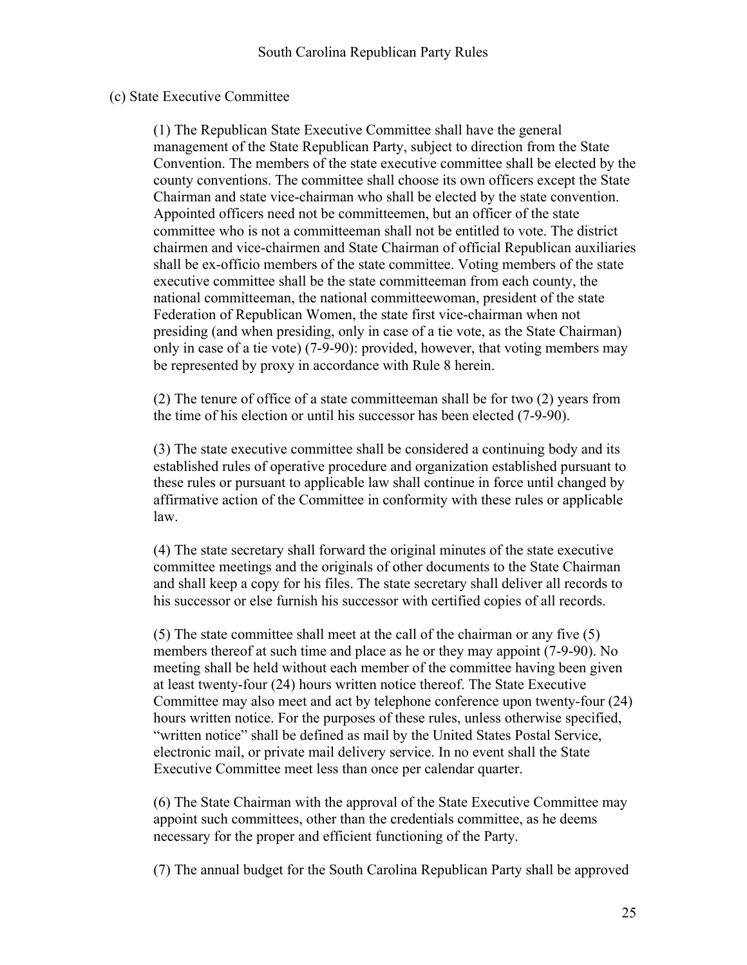#### (c) State Executive Committee

(1) The Republican State Executive Committee shall have the general management of the State Republican Party, subject to direction from the State Convention. The members of the state executive committee shall be elected by the county conventions. The committee shall choose its own officers except the State Chairman and state vice-chairman who shall be elected by the state convention. Appointed officers need not be committeemen, but an officer of the state committee who is not a committeeman shall not be entitled to vote. The district chairmen and vice-chairmen and State Chairman of official Republican auxiliaries shall be ex-officio members of the state committee. Voting members of the state executive committee shall be the state committeeman from each county, the national committeeman, the national committeewoman, president of the state Federation of Republican Women, the state first vice-chairman when not presiding (and when presiding, only in case of a tie vote, as the State Chairman) only in case of a tie vote) (7-9-90): provided, however, that voting members may be represented by proxy in accordance with Rule 8 herein.

(2) The tenure of office of a state committeeman shall be for two (2) years from the time of his election or until his successor has been elected (7-9-90).

(3) The state executive committee shall be considered a continuing body and its established rules of operative procedure and organization established pursuant to these rules or pursuant to applicable law shall continue in force until changed by affirmative action of the Committee in conformity with these rules or applicable law.

(4) The state secretary shall forward the original minutes of the state executive committee meetings and the originals of other documents to the State Chairman and shall keep a copy for his files. The state secretary shall deliver all records to his successor or else furnish his successor with certified copies of all records.

(5) The state committee shall meet at the call of the chairman or any five (5) members thereof at such time and place as he or they may appoint (7-9-90). No meeting shall be held without each member of the committee having been given at least twenty-four (24) hours written notice thereof. The State Executive Committee may also meet and act by telephone conference upon twenty-four (24) hours written notice. For the purposes of these rules, unless otherwise specified, "written notice" shall be defined as mail by the United States Postal Service, electronic mail, or private mail delivery service. In no event shall the State Executive Committee meet less than once per calendar quarter.

(6) The State Chairman with the approval of the State Executive Committee may appoint such committees, other than the credentials committee, as he deems necessary for the proper and efficient functioning of the Party.

(7) The annual budget for the South Carolina Republican Party shall be approved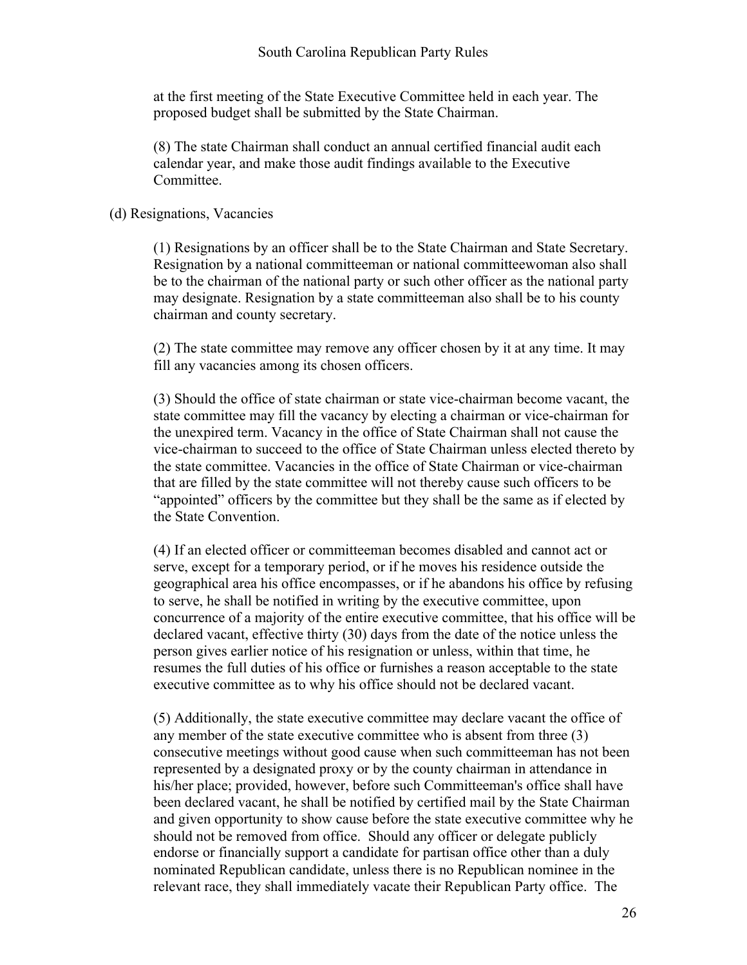#### South Carolina Republican Party Rules

at the first meeting of the State Executive Committee held in each year. The proposed budget shall be submitted by the State Chairman.

(8) The state Chairman shall conduct an annual certified financial audit each calendar year, and make those audit findings available to the Executive Committee.

#### (d) Resignations, Vacancies

(1) Resignations by an officer shall be to the State Chairman and State Secretary. Resignation by a national committeeman or national committeewoman also shall be to the chairman of the national party or such other officer as the national party may designate. Resignation by a state committeeman also shall be to his county chairman and county secretary.

(2) The state committee may remove any officer chosen by it at any time. It may fill any vacancies among its chosen officers.

(3) Should the office of state chairman or state vice-chairman become vacant, the state committee may fill the vacancy by electing a chairman or vice-chairman for the unexpired term. Vacancy in the office of State Chairman shall not cause the vice-chairman to succeed to the office of State Chairman unless elected thereto by the state committee. Vacancies in the office of State Chairman or vice-chairman that are filled by the state committee will not thereby cause such officers to be "appointed" officers by the committee but they shall be the same as if elected by the State Convention.

(4) If an elected officer or committeeman becomes disabled and cannot act or serve, except for a temporary period, or if he moves his residence outside the geographical area his office encompasses, or if he abandons his office by refusing to serve, he shall be notified in writing by the executive committee, upon concurrence of a majority of the entire executive committee, that his office will be declared vacant, effective thirty (30) days from the date of the notice unless the person gives earlier notice of his resignation or unless, within that time, he resumes the full duties of his office or furnishes a reason acceptable to the state executive committee as to why his office should not be declared vacant.

(5) Additionally, the state executive committee may declare vacant the office of any member of the state executive committee who is absent from three (3) consecutive meetings without good cause when such committeeman has not been represented by a designated proxy or by the county chairman in attendance in his/her place; provided, however, before such Committeeman's office shall have been declared vacant, he shall be notified by certified mail by the State Chairman and given opportunity to show cause before the state executive committee why he should not be removed from office. Should any officer or delegate publicly endorse or financially support a candidate for partisan office other than a duly nominated Republican candidate, unless there is no Republican nominee in the relevant race, they shall immediately vacate their Republican Party office. The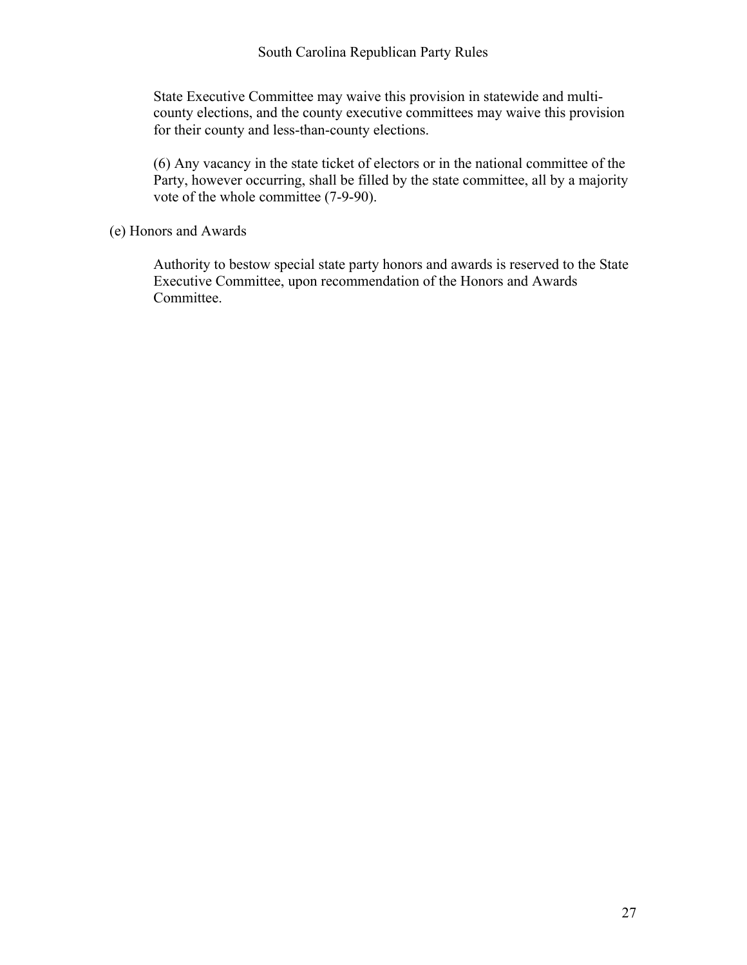State Executive Committee may waive this provision in statewide and multicounty elections, and the county executive committees may waive this provision for their county and less-than-county elections.

(6) Any vacancy in the state ticket of electors or in the national committee of the Party, however occurring, shall be filled by the state committee, all by a majority vote of the whole committee (7-9-90).

(e) Honors and Awards

Authority to bestow special state party honors and awards is reserved to the State Executive Committee, upon recommendation of the Honors and Awards Committee.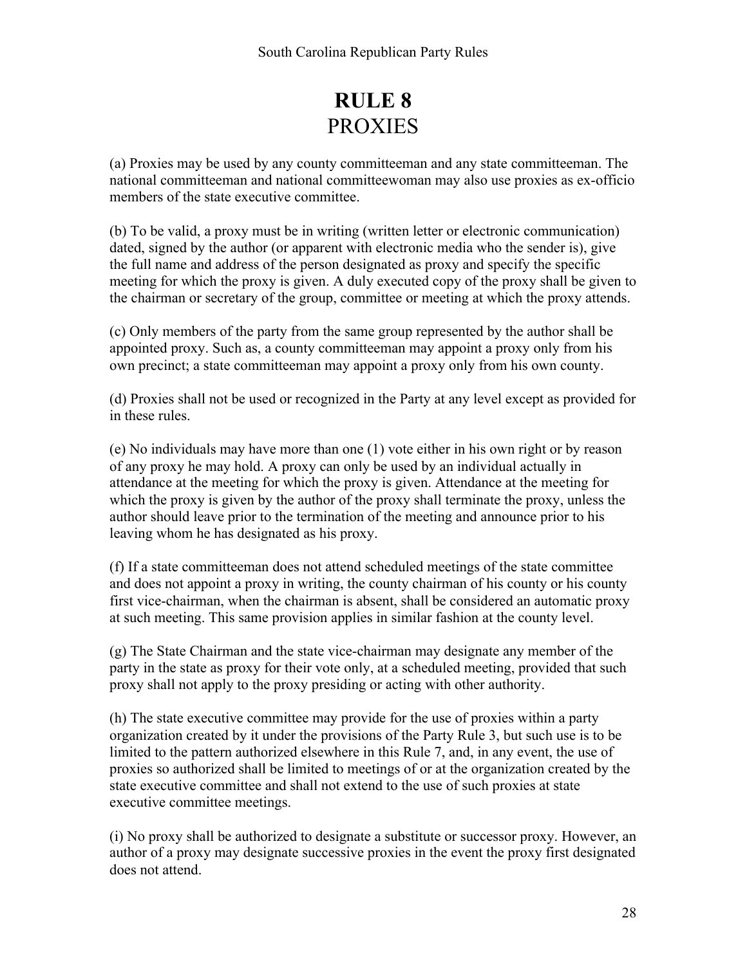## **RULE 8** PROXIES

(a) Proxies may be used by any county committeeman and any state committeeman. The national committeeman and national committeewoman may also use proxies as ex-officio members of the state executive committee.

(b) To be valid, a proxy must be in writing (written letter or electronic communication) dated, signed by the author (or apparent with electronic media who the sender is), give the full name and address of the person designated as proxy and specify the specific meeting for which the proxy is given. A duly executed copy of the proxy shall be given to the chairman or secretary of the group, committee or meeting at which the proxy attends.

(c) Only members of the party from the same group represented by the author shall be appointed proxy. Such as, a county committeeman may appoint a proxy only from his own precinct; a state committeeman may appoint a proxy only from his own county.

(d) Proxies shall not be used or recognized in the Party at any level except as provided for in these rules.

(e) No individuals may have more than one (1) vote either in his own right or by reason of any proxy he may hold. A proxy can only be used by an individual actually in attendance at the meeting for which the proxy is given. Attendance at the meeting for which the proxy is given by the author of the proxy shall terminate the proxy, unless the author should leave prior to the termination of the meeting and announce prior to his leaving whom he has designated as his proxy.

(f) If a state committeeman does not attend scheduled meetings of the state committee and does not appoint a proxy in writing, the county chairman of his county or his county first vice-chairman, when the chairman is absent, shall be considered an automatic proxy at such meeting. This same provision applies in similar fashion at the county level.

(g) The State Chairman and the state vice-chairman may designate any member of the party in the state as proxy for their vote only, at a scheduled meeting, provided that such proxy shall not apply to the proxy presiding or acting with other authority.

(h) The state executive committee may provide for the use of proxies within a party organization created by it under the provisions of the Party Rule 3, but such use is to be limited to the pattern authorized elsewhere in this Rule 7, and, in any event, the use of proxies so authorized shall be limited to meetings of or at the organization created by the state executive committee and shall not extend to the use of such proxies at state executive committee meetings.

(i) No proxy shall be authorized to designate a substitute or successor proxy. However, an author of a proxy may designate successive proxies in the event the proxy first designated does not attend.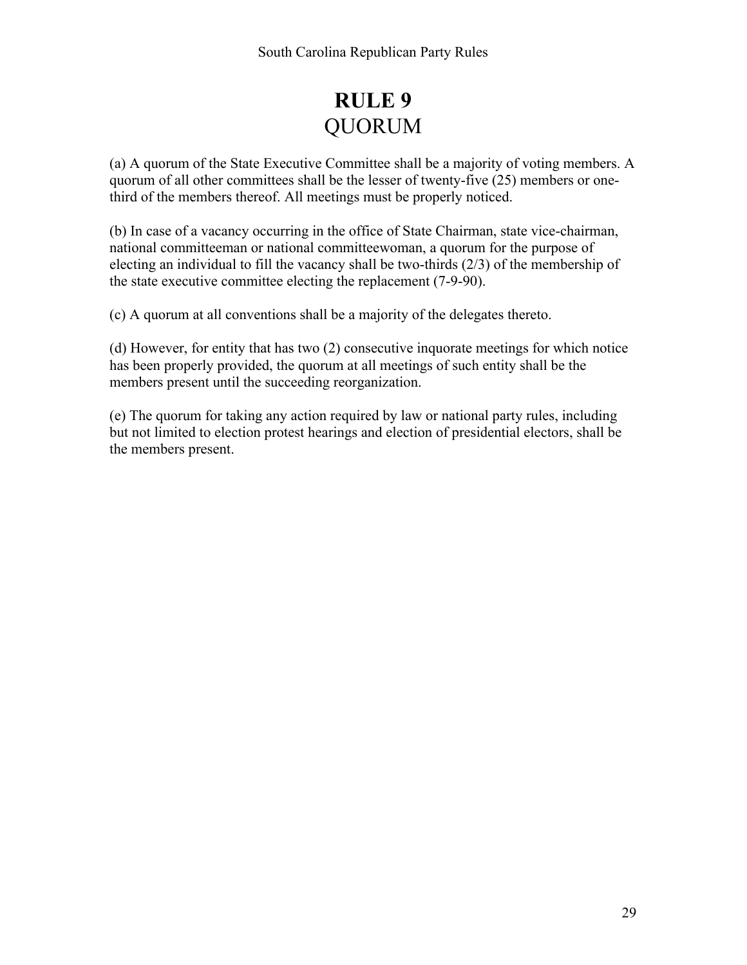## **RULE 9** QUORUM

(a) A quorum of the State Executive Committee shall be a majority of voting members. A quorum of all other committees shall be the lesser of twenty-five (25) members or onethird of the members thereof. All meetings must be properly noticed.

(b) In case of a vacancy occurring in the office of State Chairman, state vice-chairman, national committeeman or national committeewoman, a quorum for the purpose of electing an individual to fill the vacancy shall be two-thirds (2/3) of the membership of the state executive committee electing the replacement (7-9-90).

(c) A quorum at all conventions shall be a majority of the delegates thereto.

(d) However, for entity that has two (2) consecutive inquorate meetings for which notice has been properly provided, the quorum at all meetings of such entity shall be the members present until the succeeding reorganization.

(e) The quorum for taking any action required by law or national party rules, including but not limited to election protest hearings and election of presidential electors, shall be the members present.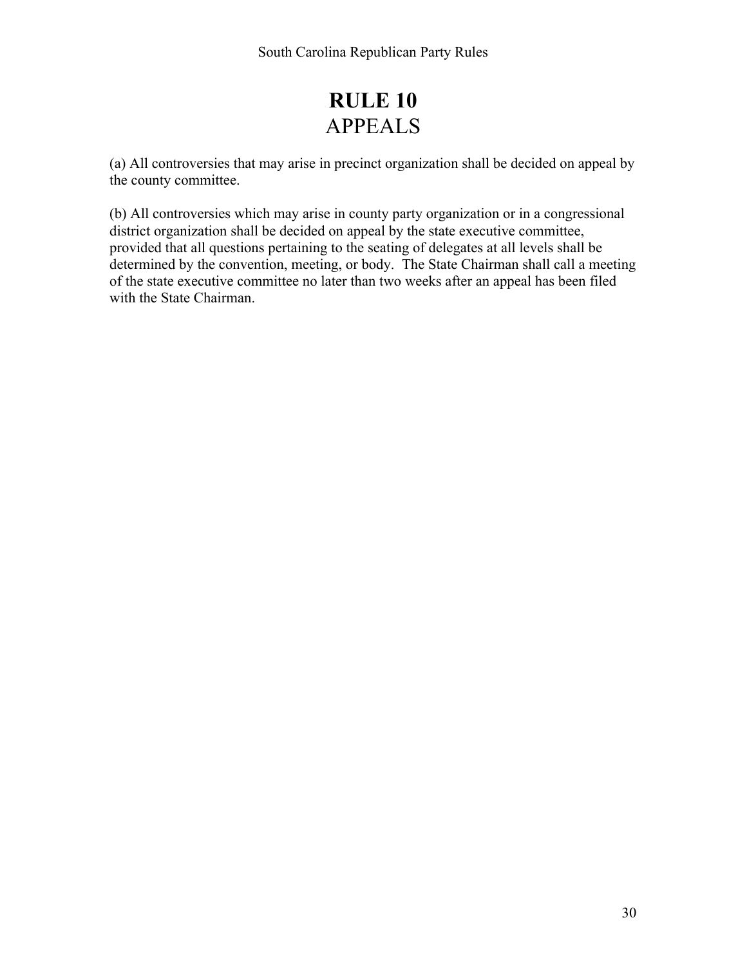## **RULE 10** APPEALS

(a) All controversies that may arise in precinct organization shall be decided on appeal by the county committee.

(b) All controversies which may arise in county party organization or in a congressional district organization shall be decided on appeal by the state executive committee, provided that all questions pertaining to the seating of delegates at all levels shall be determined by the convention, meeting, or body. The State Chairman shall call a meeting of the state executive committee no later than two weeks after an appeal has been filed with the State Chairman.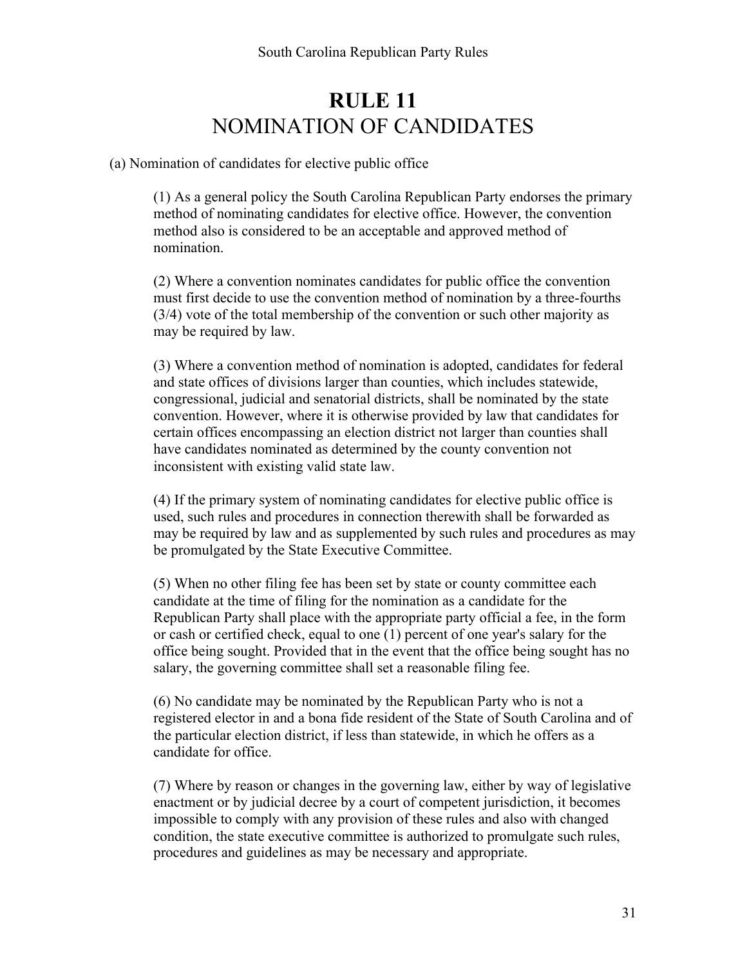## **RULE 11** NOMINATION OF CANDIDATES

(a) Nomination of candidates for elective public office

(1) As a general policy the South Carolina Republican Party endorses the primary method of nominating candidates for elective office. However, the convention method also is considered to be an acceptable and approved method of nomination.

(2) Where a convention nominates candidates for public office the convention must first decide to use the convention method of nomination by a three-fourths (3/4) vote of the total membership of the convention or such other majority as may be required by law.

(3) Where a convention method of nomination is adopted, candidates for federal and state offices of divisions larger than counties, which includes statewide, congressional, judicial and senatorial districts, shall be nominated by the state convention. However, where it is otherwise provided by law that candidates for certain offices encompassing an election district not larger than counties shall have candidates nominated as determined by the county convention not inconsistent with existing valid state law.

(4) If the primary system of nominating candidates for elective public office is used, such rules and procedures in connection therewith shall be forwarded as may be required by law and as supplemented by such rules and procedures as may be promulgated by the State Executive Committee.

(5) When no other filing fee has been set by state or county committee each candidate at the time of filing for the nomination as a candidate for the Republican Party shall place with the appropriate party official a fee, in the form or cash or certified check, equal to one (1) percent of one year's salary for the office being sought. Provided that in the event that the office being sought has no salary, the governing committee shall set a reasonable filing fee.

(6) No candidate may be nominated by the Republican Party who is not a registered elector in and a bona fide resident of the State of South Carolina and of the particular election district, if less than statewide, in which he offers as a candidate for office.

(7) Where by reason or changes in the governing law, either by way of legislative enactment or by judicial decree by a court of competent jurisdiction, it becomes impossible to comply with any provision of these rules and also with changed condition, the state executive committee is authorized to promulgate such rules, procedures and guidelines as may be necessary and appropriate.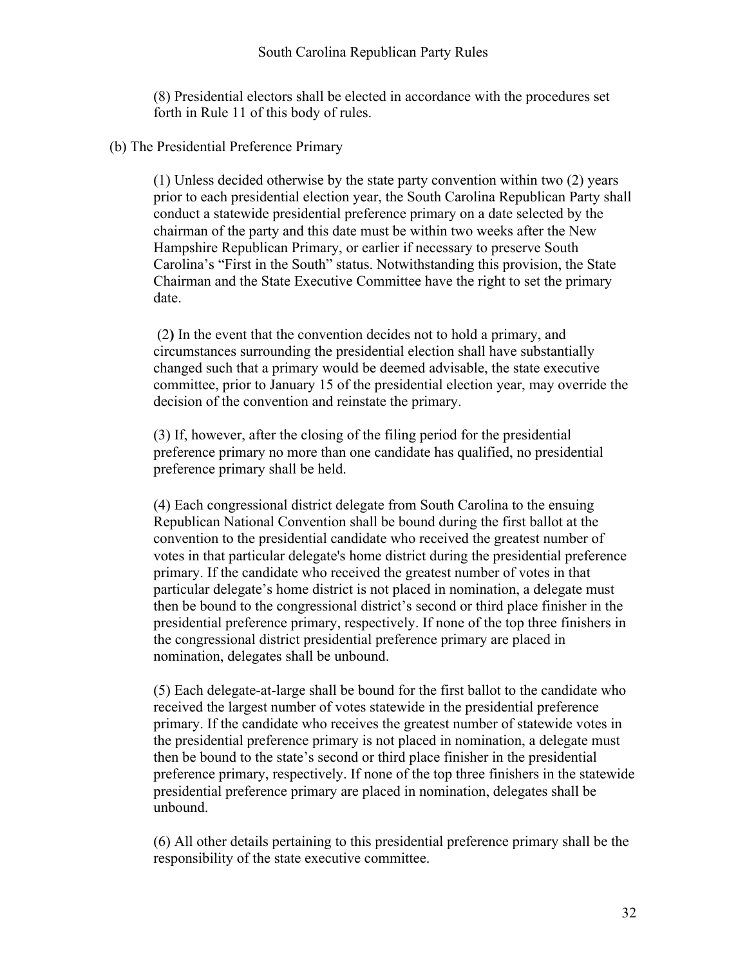(8) Presidential electors shall be elected in accordance with the procedures set forth in Rule 11 of this body of rules.

(b) The Presidential Preference Primary

(1) Unless decided otherwise by the state party convention within two (2) years prior to each presidential election year, the South Carolina Republican Party shall conduct a statewide presidential preference primary on a date selected by the chairman of the party and this date must be within two weeks after the New Hampshire Republican Primary, or earlier if necessary to preserve South Carolina's "First in the South" status. Notwithstanding this provision, the State Chairman and the State Executive Committee have the right to set the primary date.

(2**)** In the event that the convention decides not to hold a primary, and circumstances surrounding the presidential election shall have substantially changed such that a primary would be deemed advisable, the state executive committee, prior to January 15 of the presidential election year, may override the decision of the convention and reinstate the primary.

(3) If, however, after the closing of the filing period for the presidential preference primary no more than one candidate has qualified, no presidential preference primary shall be held.

(4) Each congressional district delegate from South Carolina to the ensuing Republican National Convention shall be bound during the first ballot at the convention to the presidential candidate who received the greatest number of votes in that particular delegate's home district during the presidential preference primary. If the candidate who received the greatest number of votes in that particular delegate's home district is not placed in nomination, a delegate must then be bound to the congressional district's second or third place finisher in the presidential preference primary, respectively. If none of the top three finishers in the congressional district presidential preference primary are placed in nomination, delegates shall be unbound.

(5) Each delegate-at-large shall be bound for the first ballot to the candidate who received the largest number of votes statewide in the presidential preference primary. If the candidate who receives the greatest number of statewide votes in the presidential preference primary is not placed in nomination, a delegate must then be bound to the state's second or third place finisher in the presidential preference primary, respectively. If none of the top three finishers in the statewide presidential preference primary are placed in nomination, delegates shall be unbound.

(6) All other details pertaining to this presidential preference primary shall be the responsibility of the state executive committee.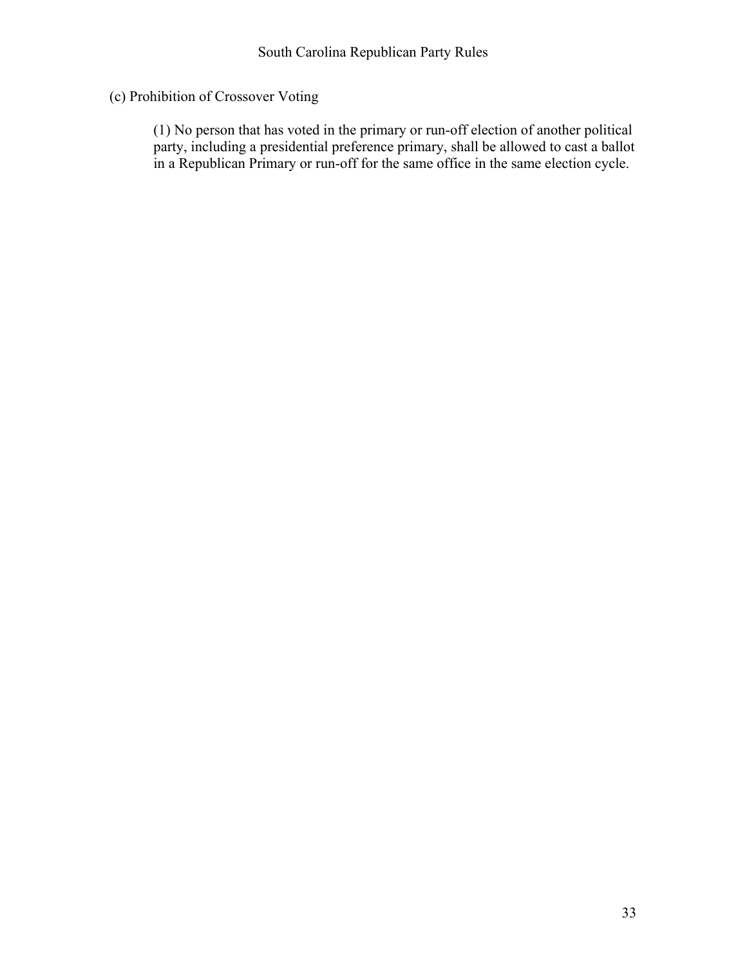(c) Prohibition of Crossover Voting

(1) No person that has voted in the primary or run-off election of another political party, including a presidential preference primary, shall be allowed to cast a ballot in a Republican Primary or run-off for the same office in the same election cycle.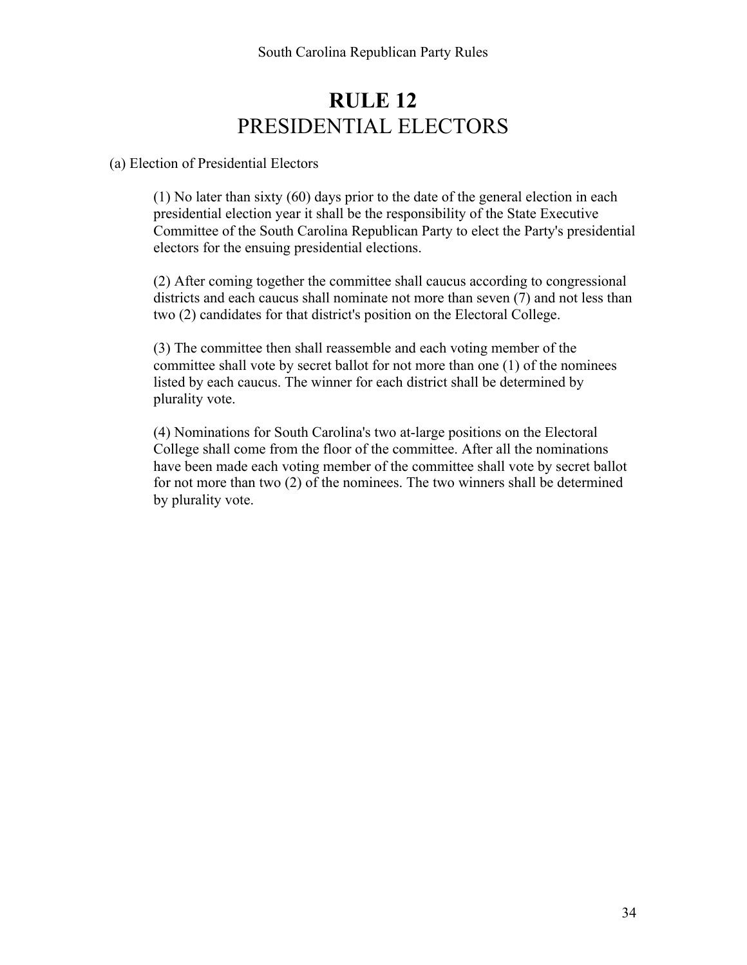## **RULE 12**  PRESIDENTIAL ELECTORS

#### (a) Election of Presidential Electors

(1) No later than sixty (60) days prior to the date of the general election in each presidential election year it shall be the responsibility of the State Executive Committee of the South Carolina Republican Party to elect the Party's presidential electors for the ensuing presidential elections.

(2) After coming together the committee shall caucus according to congressional districts and each caucus shall nominate not more than seven (7) and not less than two (2) candidates for that district's position on the Electoral College.

(3) The committee then shall reassemble and each voting member of the committee shall vote by secret ballot for not more than one (1) of the nominees listed by each caucus. The winner for each district shall be determined by plurality vote.

(4) Nominations for South Carolina's two at-large positions on the Electoral College shall come from the floor of the committee. After all the nominations have been made each voting member of the committee shall vote by secret ballot for not more than two (2) of the nominees. The two winners shall be determined by plurality vote.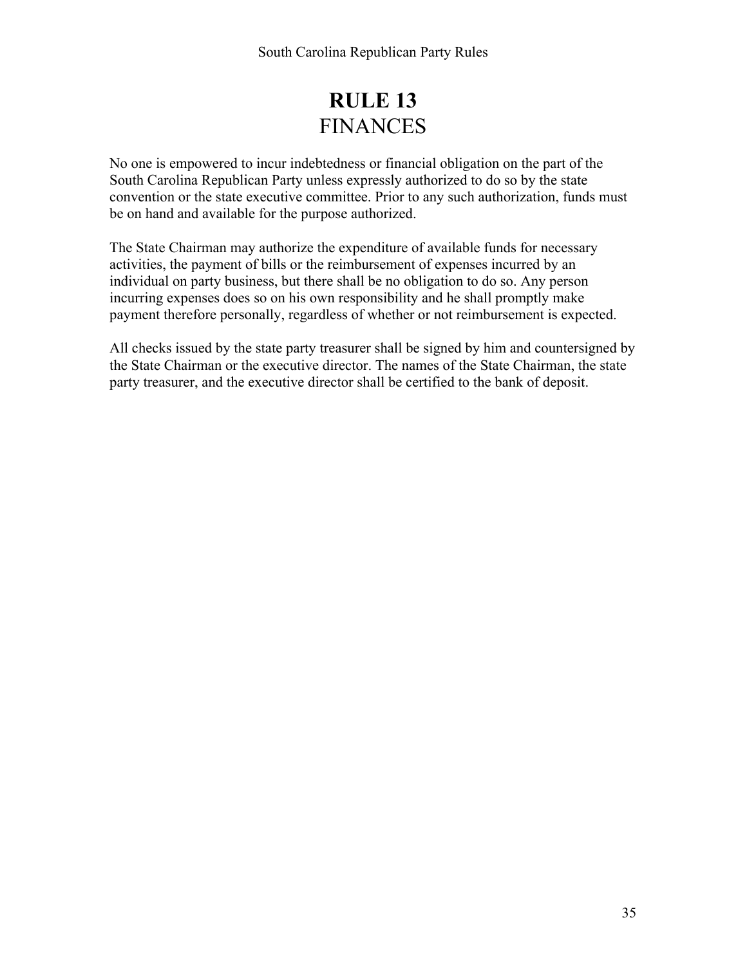## **RULE 13** FINANCES

No one is empowered to incur indebtedness or financial obligation on the part of the South Carolina Republican Party unless expressly authorized to do so by the state convention or the state executive committee. Prior to any such authorization, funds must be on hand and available for the purpose authorized.

The State Chairman may authorize the expenditure of available funds for necessary activities, the payment of bills or the reimbursement of expenses incurred by an individual on party business, but there shall be no obligation to do so. Any person incurring expenses does so on his own responsibility and he shall promptly make payment therefore personally, regardless of whether or not reimbursement is expected.

All checks issued by the state party treasurer shall be signed by him and countersigned by the State Chairman or the executive director. The names of the State Chairman, the state party treasurer, and the executive director shall be certified to the bank of deposit.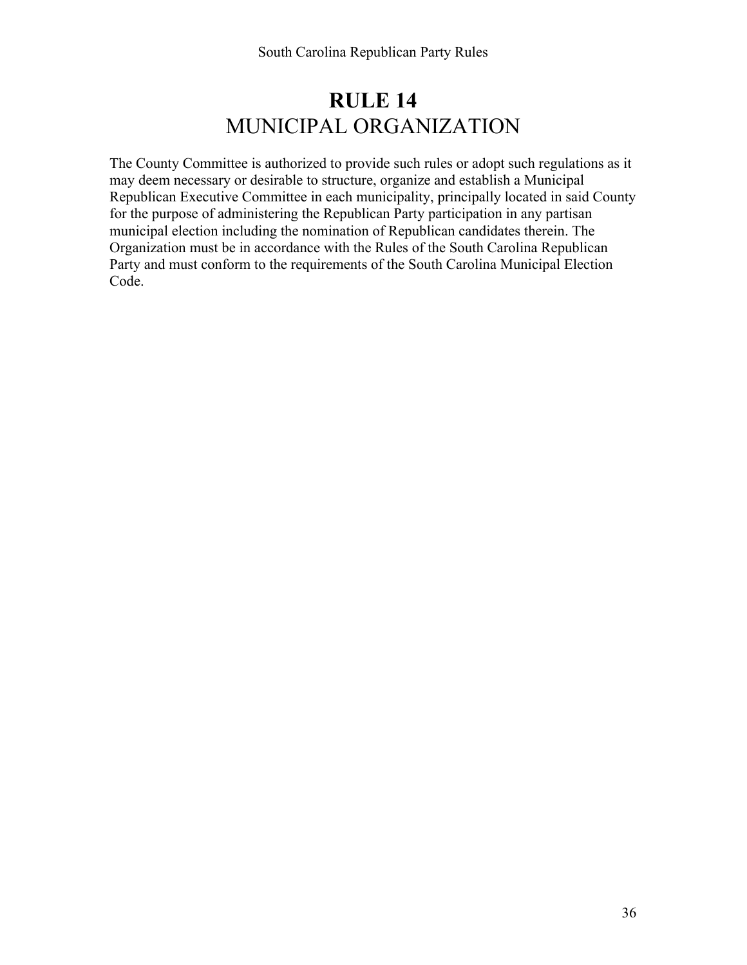## **RULE 14** MUNICIPAL ORGANIZATION

The County Committee is authorized to provide such rules or adopt such regulations as it may deem necessary or desirable to structure, organize and establish a Municipal Republican Executive Committee in each municipality, principally located in said County for the purpose of administering the Republican Party participation in any partisan municipal election including the nomination of Republican candidates therein. The Organization must be in accordance with the Rules of the South Carolina Republican Party and must conform to the requirements of the South Carolina Municipal Election Code.